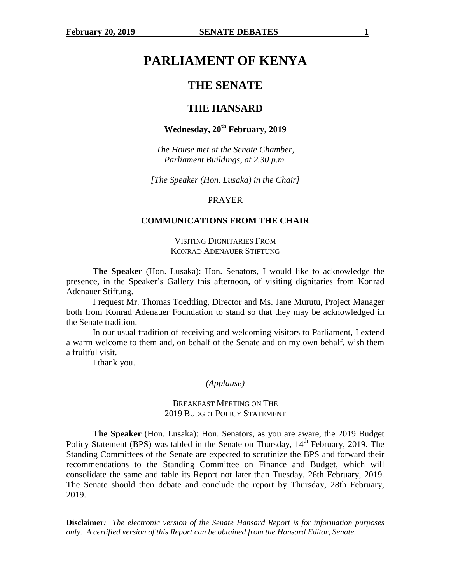# **PARLIAMENT OF KENYA**

# **THE SENATE**

# **THE HANSARD**

# **Wednesday, 20th February, 2019**

*The House met at the Senate Chamber, Parliament Buildings, at 2.30 p.m.* 

*[The Speaker (Hon. Lusaka) in the Chair]* 

## PRAYER

## **COMMUNICATIONS FROM THE CHAIR**

## VISITING DIGNITARIES FROM KONRAD ADENAUER STIFTUNG

**The Speaker** (Hon. Lusaka): Hon. Senators, I would like to acknowledge the presence, in the Speaker's Gallery this afternoon, of visiting dignitaries from Konrad Adenauer Stiftung.

I request Mr. Thomas Toedtling, Director and Ms. Jane Murutu, Project Manager both from Konrad Adenauer Foundation to stand so that they may be acknowledged in the Senate tradition.

In our usual tradition of receiving and welcoming visitors to Parliament, I extend a warm welcome to them and, on behalf of the Senate and on my own behalf, wish them a fruitful visit.

I thank you.

#### *(Applause)*

## BREAKFAST MEETING ON THE 2019 BUDGET POLICY STATEMENT

**The Speaker** (Hon. Lusaka): Hon. Senators, as you are aware, the 2019 Budget Policy Statement (BPS) was tabled in the Senate on Thursday,  $14<sup>th</sup>$  February, 2019. The Standing Committees of the Senate are expected to scrutinize the BPS and forward their recommendations to the Standing Committee on Finance and Budget, which will consolidate the same and table its Report not later than Tuesday, 26th February, 2019. The Senate should then debate and conclude the report by Thursday, 28th February, 2019.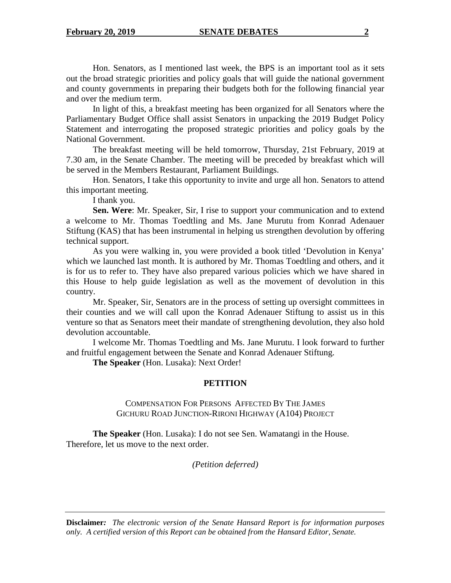Hon. Senators, as I mentioned last week, the BPS is an important tool as it sets out the broad strategic priorities and policy goals that will guide the national government and county governments in preparing their budgets both for the following financial year and over the medium term.

In light of this, a breakfast meeting has been organized for all Senators where the Parliamentary Budget Office shall assist Senators in unpacking the 2019 Budget Policy Statement and interrogating the proposed strategic priorities and policy goals by the National Government.

The breakfast meeting will be held tomorrow, Thursday, 21st February, 2019 at 7.30 am, in the Senate Chamber. The meeting will be preceded by breakfast which will be served in the Members Restaurant, Parliament Buildings.

Hon. Senators, I take this opportunity to invite and urge all hon. Senators to attend this important meeting.

I thank you.

**Sen. Were**: Mr. Speaker, Sir, I rise to support your communication and to extend a welcome to Mr. Thomas Toedtling and Ms. Jane Murutu from Konrad Adenauer Stiftung (KAS) that has been instrumental in helping us strengthen devolution by offering technical support.

As you were walking in, you were provided a book titled 'Devolution in Kenya' which we launched last month. It is authored by Mr. Thomas Toedtling and others, and it is for us to refer to. They have also prepared various policies which we have shared in this House to help guide legislation as well as the movement of devolution in this country.

Mr. Speaker, Sir, Senators are in the process of setting up oversight committees in their counties and we will call upon the Konrad Adenauer Stiftung to assist us in this venture so that as Senators meet their mandate of strengthening devolution, they also hold devolution accountable.

I welcome Mr. Thomas Toedtling and Ms. Jane Murutu. I look forward to further and fruitful engagement between the Senate and Konrad Adenauer Stiftung.

**The Speaker** (Hon. Lusaka): Next Order!

# **PETITION**

## COMPENSATION FOR PERSONS AFFECTED BY THE JAMES GICHURU ROAD JUNCTION-RIRONI HIGHWAY (A104) PROJECT

 **The Speaker** (Hon. Lusaka): I do not see Sen. Wamatangi in the House. Therefore, let us move to the next order.

*(Petition deferred)*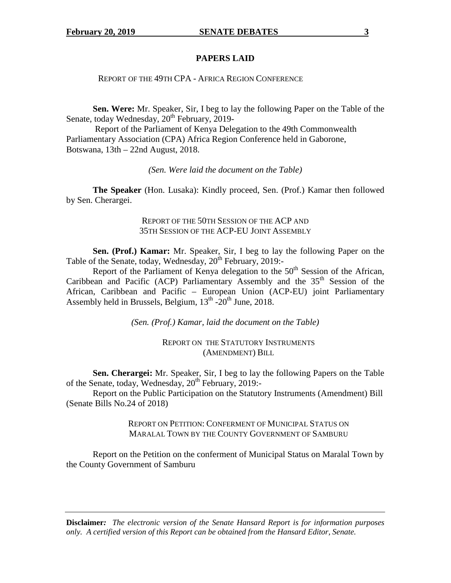## **PAPERS LAID**

REPORT OF THE 49TH CPA - AFRICA REGION CONFERENCE

**Sen. Were:** Mr. Speaker, Sir, I beg to lay the following Paper on the Table of the Senate, today Wednesday, 20<sup>th</sup> February, 2019-

 Report of the Parliament of Kenya Delegation to the 49th Commonwealth Parliamentary Association (CPA) Africa Region Conference held in Gaborone, Botswana, 13th – 22nd August, 2018.

*(Sen. Were laid the document on the Table)* 

**The Speaker** (Hon. Lusaka): Kindly proceed, Sen. (Prof.) Kamar then followed by Sen. Cherargei.

> REPORT OF THE 50TH SESSION OF THE ACP AND 35TH SESSION OF THE ACP-EU JOINT ASSEMBLY

**Sen. (Prof.) Kamar:** Mr. Speaker, Sir, I beg to lay the following Paper on the Table of the Senate, today, Wednesday, 20<sup>th</sup> February, 2019:-

Report of the Parliament of Kenya delegation to the  $50<sup>th</sup>$  Session of the African, Caribbean and Pacific (ACP) Parliamentary Assembly and the  $35<sup>th</sup>$  Session of the African, Caribbean and Pacific – European Union (ACP-EU) joint Parliamentary Assembly held in Brussels, Belgium,  $13<sup>th</sup>$ - $20<sup>th</sup>$  June,  $2018$ .

*(Sen. (Prof.) Kamar, laid the document on the Table)* 

REPORT ON THE STATUTORY INSTRUMENTS (AMENDMENT) BILL

**Sen. Cherargei:** Mr. Speaker, Sir, I beg to lay the following Papers on the Table of the Senate, today, Wednesday,  $20^{th}$  February,  $2019$ :-

Report on the Public Participation on the Statutory Instruments (Amendment) Bill (Senate Bills No.24 of 2018)

> REPORT ON PETITION: CONFERMENT OF MUNICIPAL STATUS ON MARALAL TOWN BY THE COUNTY GOVERNMENT OF SAMBURU

Report on the Petition on the conferment of Municipal Status on Maralal Town by the County Government of Samburu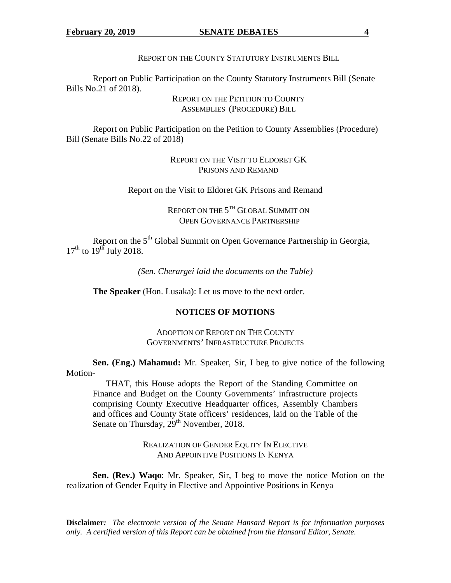REPORT ON THE COUNTY STATUTORY INSTRUMENTS BILL

Report on Public Participation on the County Statutory Instruments Bill (Senate Bills No.21 of 2018).

> REPORT ON THE PETITION TO COUNTY ASSEMBLIES (PROCEDURE) BILL

Report on Public Participation on the Petition to County Assemblies (Procedure) Bill (Senate Bills No.22 of 2018)

> REPORT ON THE VISIT TO ELDORET GK PRISONS AND REMAND

Report on the Visit to Eldoret GK Prisons and Remand

REPORT ON THE  $5^{\text{\tiny{TH}}}$  Global Summit on OPEN GOVERNANCE PARTNERSHIP

Report on the 5<sup>th</sup> Global Summit on Open Governance Partnership in Georgia,  $17<sup>th</sup>$  to  $19<sup>th</sup>$  July 2018.

*(Sen. Cherargei laid the documents on the Table)* 

**The Speaker** (Hon. Lusaka): Let us move to the next order.

# **NOTICES OF MOTIONS**

ADOPTION OF REPORT ON THE COUNTY GOVERNMENTS' INFRASTRUCTURE PROJECTS

**Sen. (Eng.) Mahamud:** Mr. Speaker, Sir, I beg to give notice of the following Motion-

THAT, this House adopts the Report of the Standing Committee on Finance and Budget on the County Governments' infrastructure projects comprising County Executive Headquarter offices, Assembly Chambers and offices and County State officers' residences, laid on the Table of the Senate on Thursday, 29<sup>th</sup> November, 2018.

> REALIZATION OF GENDER EQUITY IN ELECTIVE AND APPOINTIVE POSITIONS IN KENYA

**Sen. (Rev.) Waqo**: Mr. Speaker, Sir, I beg to move the notice Motion on the realization of Gender Equity in Elective and Appointive Positions in Kenya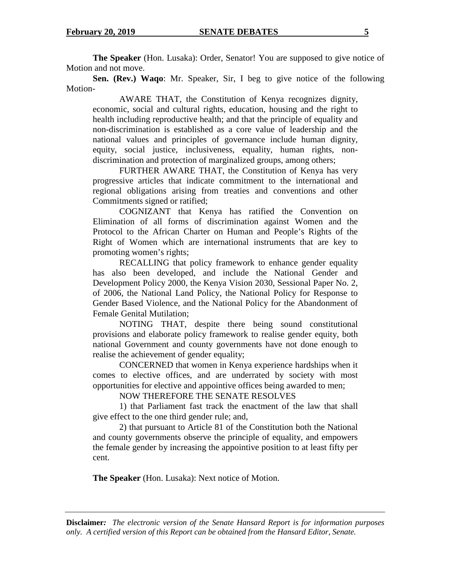**The Speaker** (Hon. Lusaka): Order, Senator! You are supposed to give notice of Motion and not move.

**Sen. (Rev.) Waqo**: Mr. Speaker, Sir, I beg to give notice of the following Motion-

AWARE THAT, the Constitution of Kenya recognizes dignity, economic, social and cultural rights, education, housing and the right to health including reproductive health; and that the principle of equality and non-discrimination is established as a core value of leadership and the national values and principles of governance include human dignity, equity, social justice, inclusiveness, equality, human rights, nondiscrimination and protection of marginalized groups, among others;

FURTHER AWARE THAT, the Constitution of Kenya has very progressive articles that indicate commitment to the international and regional obligations arising from treaties and conventions and other Commitments signed or ratified;

COGNIZANT that Kenya has ratified the Convention on Elimination of all forms of discrimination against Women and the Protocol to the African Charter on Human and People's Rights of the Right of Women which are international instruments that are key to promoting women's rights;

RECALLING that policy framework to enhance gender equality has also been developed, and include the National Gender and Development Policy 2000, the Kenya Vision 2030, Sessional Paper No. 2, of 2006, the National Land Policy, the National Policy for Response to Gender Based Violence, and the National Policy for the Abandonment of Female Genital Mutilation;

NOTING THAT, despite there being sound constitutional provisions and elaborate policy framework to realise gender equity, both national Government and county governments have not done enough to realise the achievement of gender equality;

CONCERNED that women in Kenya experience hardships when it comes to elective offices, and are underrated by society with most opportunities for elective and appointive offices being awarded to men;

NOW THEREFORE THE SENATE RESOLVES

1) that Parliament fast track the enactment of the law that shall give effect to the one third gender rule; and,

2) that pursuant to Article 81 of the Constitution both the National and county governments observe the principle of equality, and empowers the female gender by increasing the appointive position to at least fifty per cent.

 **The Speaker** (Hon. Lusaka): Next notice of Motion.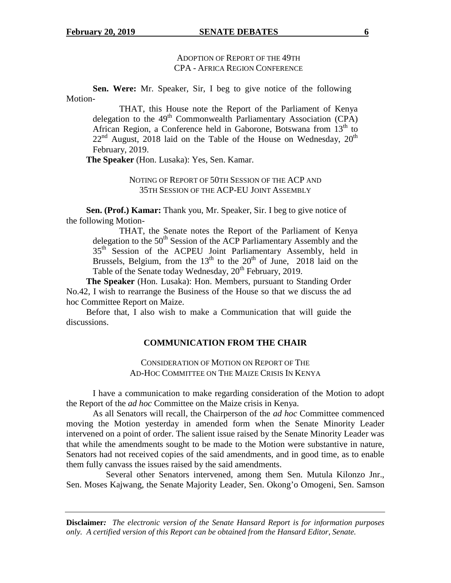#### **February 20, 2019 SENATE DEBATES 6**

# ADOPTION OF REPORT OF THE 49TH CPA - AFRICA REGION CONFERENCE

**Sen. Were:** Mr. Speaker, Sir, I beg to give notice of the following Motion-

 THAT, this House note the Report of the Parliament of Kenya delegation to the  $49<sup>th</sup>$  Commonwealth Parliamentary Association (CPA) African Region, a Conference held in Gaborone, Botswana from  $13<sup>th</sup>$  to  $22<sup>nd</sup>$  August, 2018 laid on the Table of the House on Wednesday,  $20<sup>th</sup>$ February, 2019.

**The Speaker** (Hon. Lusaka): Yes, Sen. Kamar.

# NOTING OF REPORT OF 50TH SESSION OF THE ACP AND 35TH SESSION OF THE ACP-EU JOINT ASSEMBLY

**Sen. (Prof.) Kamar:** Thank you, Mr. Speaker, Sir. I beg to give notice of the following Motion-

 THAT, the Senate notes the Report of the Parliament of Kenya delegation to the  $50<sup>th</sup>$  Session of the ACP Parliamentary Assembly and the 35<sup>th</sup> Session of the ACPEU Joint Parliamentary Assembly, held in Brussels, Belgium, from the  $13<sup>th</sup>$  to the  $20<sup>th</sup>$  of June, 2018 laid on the Table of the Senate today Wednesday, 20<sup>th</sup> February, 2019.

**The Speaker** (Hon. Lusaka): Hon. Members, pursuant to Standing Order No.42, I wish to rearrange the Business of the House so that we discuss the ad hoc Committee Report on Maize.

Before that, I also wish to make a Communication that will guide the discussions.

## **COMMUNICATION FROM THE CHAIR**

CONSIDERATION OF MOTION ON REPORT OF THE AD-HOC COMMITTEE ON THE MAIZE CRISIS IN KENYA

I have a communication to make regarding consideration of the Motion to adopt the Report of the *ad hoc* Committee on the Maize crisis in Kenya.

 As all Senators will recall, the Chairperson of the *ad hoc* Committee commenced moving the Motion yesterday in amended form when the Senate Minority Leader intervened on a point of order. The salient issue raised by the Senate Minority Leader was that while the amendments sought to be made to the Motion were substantive in nature, Senators had not received copies of the said amendments, and in good time, as to enable them fully canvass the issues raised by the said amendments.

 Several other Senators intervened, among them Sen. Mutula Kilonzo Jnr., Sen. Moses Kajwang, the Senate Majority Leader, Sen. Okong'o Omogeni, Sen. Samson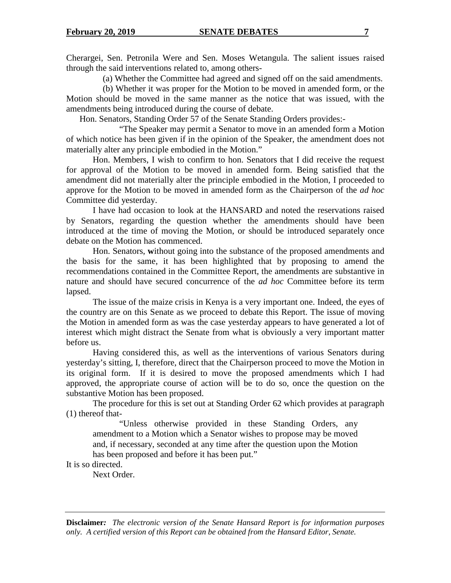Cherargei, Sen. Petronila Were and Sen. Moses Wetangula. The salient issues raised through the said interventions related to, among others-

(a) Whether the Committee had agreed and signed off on the said amendments.

(b) Whether it was proper for the Motion to be moved in amended form, or the Motion should be moved in the same manner as the notice that was issued, with the amendments being introduced during the course of debate.

Hon. Senators, Standing Order 57 of the Senate Standing Orders provides:-

 "The Speaker may permit a Senator to move in an amended form a Motion of which notice has been given if in the opinion of the Speaker, the amendment does not materially alter any principle embodied in the Motion."

 Hon. Members, I wish to confirm to hon. Senators that I did receive the request for approval of the Motion to be moved in amended form. Being satisfied that the amendment did not materially alter the principle embodied in the Motion, I proceeded to approve for the Motion to be moved in amended form as the Chairperson of the *ad hoc* Committee did yesterday.

 I have had occasion to look at the HANSARD and noted the reservations raised by Senators, regarding the question whether the amendments should have been introduced at the time of moving the Motion, or should be introduced separately once debate on the Motion has commenced.

Hon. Senators, **w**ithout going into the substance of the proposed amendments and the basis for the same, it has been highlighted that by proposing to amend the recommendations contained in the Committee Report, the amendments are substantive in nature and should have secured concurrence of the *ad hoc* Committee before its term lapsed.

 The issue of the maize crisis in Kenya is a very important one. Indeed, the eyes of the country are on this Senate as we proceed to debate this Report. The issue of moving the Motion in amended form as was the case yesterday appears to have generated a lot of interest which might distract the Senate from what is obviously a very important matter before us.

 Having considered this, as well as the interventions of various Senators during yesterday's sitting, I, therefore, direct that the Chairperson proceed to move the Motion in its original form. If it is desired to move the proposed amendments which I had approved, the appropriate course of action will be to do so, once the question on the substantive Motion has been proposed.

 The procedure for this is set out at Standing Order 62 which provides at paragraph (1) thereof that-

 "Unless otherwise provided in these Standing Orders, any amendment to a Motion which a Senator wishes to propose may be moved and, if necessary, seconded at any time after the question upon the Motion has been proposed and before it has been put."

It is so directed.

Next Order.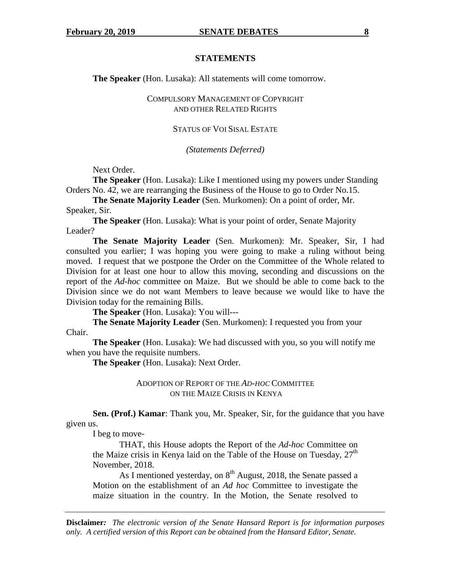#### **STATEMENTS**

 **The Speaker** (Hon. Lusaka): All statements will come tomorrow.

COMPULSORY MANAGEMENT OF COPYRIGHT AND OTHER RELATED RIGHTS

## STATUS OF VOI SISAL ESTATE

*(Statements Deferred)* 

Next Order.

**The Speaker** (Hon. Lusaka): Like I mentioned using my powers under Standing Orders No. 42, we are rearranging the Business of the House to go to Order No.15.

**The Senate Majority Leader** (Sen. Murkomen): On a point of order, Mr. Speaker, Sir.

**The Speaker** (Hon. Lusaka): What is your point of order, Senate Majority Leader?

**The Senate Majority Leader** (Sen. Murkomen): Mr. Speaker, Sir, I had consulted you earlier; I was hoping you were going to make a ruling without being moved. I request that we postpone the Order on the Committee of the Whole related to Division for at least one hour to allow this moving, seconding and discussions on the report of the *Ad-hoc* committee on Maize. But we should be able to come back to the Division since we do not want Members to leave because we would like to have the Division today for the remaining Bills.

**The Speaker** (Hon. Lusaka): You will---

**The Senate Majority Leader** (Sen. Murkomen): I requested you from your Chair.

 **The Speaker** (Hon. Lusaka): We had discussed with you, so you will notify me when you have the requisite numbers.

 **The Speaker** (Hon. Lusaka): Next Order.

## ADOPTION OF REPORT OF THE *AD-HOC* COMMITTEE ON THE MAIZE CRISIS IN KENYA

**Sen. (Prof.) Kamar**: Thank you, Mr. Speaker, Sir, for the guidance that you have given us.

I beg to move-

THAT, this House adopts the Report of the *Ad-hoc* Committee on the Maize crisis in Kenya laid on the Table of the House on Tuesday,  $27<sup>th</sup>$ November, 2018.

As I mentioned yesterday, on  $8<sup>th</sup>$  August, 2018, the Senate passed a Motion on the establishment of an *Ad hoc* Committee to investigate the maize situation in the country. In the Motion, the Senate resolved to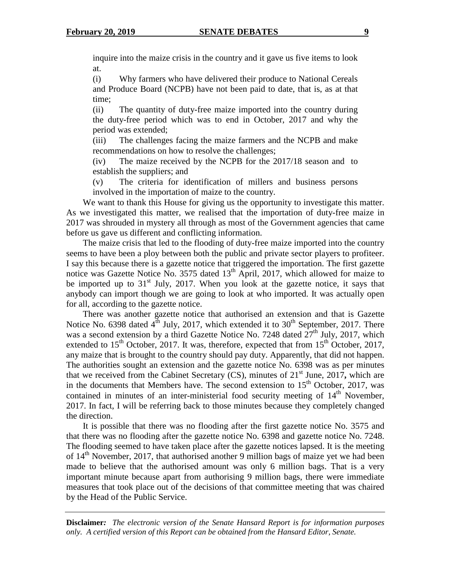inquire into the maize crisis in the country and it gave us five items to look at.

(i) Why farmers who have delivered their produce to National Cereals and Produce Board (NCPB) have not been paid to date, that is, as at that time;

(ii) The quantity of duty-free maize imported into the country during the duty-free period which was to end in October, 2017 and why the period was extended;

(iii) The challenges facing the maize farmers and the NCPB and make recommendations on how to resolve the challenges;

(iv) The maize received by the NCPB for the 2017/18 season and to establish the suppliers; and

(v) The criteria for identification of millers and business persons involved in the importation of maize to the country.

We want to thank this House for giving us the opportunity to investigate this matter. As we investigated this matter, we realised that the importation of duty-free maize in 2017 was shrouded in mystery all through as most of the Government agencies that came before us gave us different and conflicting information.

The maize crisis that led to the flooding of duty-free maize imported into the country seems to have been a ploy between both the public and private sector players to profiteer. I say this because there is a gazette notice that triggered the importation. The first gazette notice was Gazette Notice No. 3575 dated  $13<sup>th</sup>$  April, 2017, which allowed for maize to be imported up to 31<sup>st</sup> July, 2017. When you look at the gazette notice, it says that anybody can import though we are going to look at who imported. It was actually open for all, according to the gazette notice.

There was another gazette notice that authorised an extension and that is Gazette Notice No. 6398 dated  $4^{\text{th}}$  July, 2017, which extended it to 30<sup>th</sup> September, 2017. There was a second extension by a third Gazette Notice No. 7248 dated  $27<sup>th</sup>$  July, 2017, which extended to  $15<sup>th</sup>$  October, 2017. It was, therefore, expected that from  $15<sup>th</sup>$  October, 2017, any maize that is brought to the country should pay duty. Apparently, that did not happen. The authorities sought an extension and the gazette notice No. 6398 was as per minutes that we received from the Cabinet Secretary  $(CS)$ , minutes of  $21<sup>st</sup>$  June, 2017, which are in the documents that Members have. The second extension to  $15<sup>th</sup>$  October, 2017, was contained in minutes of an inter-ministerial food security meeting of  $14<sup>th</sup>$  November, 2017. In fact, I will be referring back to those minutes because they completely changed the direction.

It is possible that there was no flooding after the first gazette notice No. 3575 and that there was no flooding after the gazette notice No. 6398 and gazette notice No. 7248. The flooding seemed to have taken place after the gazette notices lapsed. It is the meeting of  $14<sup>th</sup>$  November, 2017, that authorised another 9 million bags of maize yet we had been made to believe that the authorised amount was only 6 million bags. That is a very important minute because apart from authorising 9 million bags, there were immediate measures that took place out of the decisions of that committee meeting that was chaired by the Head of the Public Service.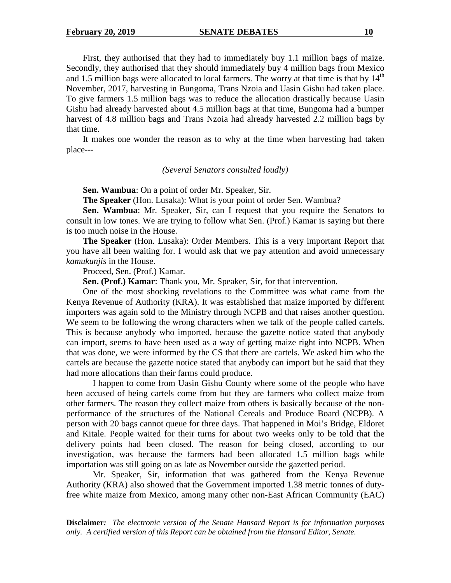First, they authorised that they had to immediately buy 1.1 million bags of maize. Secondly, they authorised that they should immediately buy 4 million bags from Mexico and 1.5 million bags were allocated to local farmers. The worry at that time is that by  $14<sup>th</sup>$ November, 2017, harvesting in Bungoma, Trans Nzoia and Uasin Gishu had taken place. To give farmers 1.5 million bags was to reduce the allocation drastically because Uasin Gishu had already harvested about 4.5 million bags at that time, Bungoma had a bumper harvest of 4.8 million bags and Trans Nzoia had already harvested 2.2 million bags by that time.

It makes one wonder the reason as to why at the time when harvesting had taken place---

## *(Several Senators consulted loudly)*

**Sen. Wambua**: On a point of order Mr. Speaker, Sir.

**The Speaker** (Hon. Lusaka): What is your point of order Sen. Wambua?

**Sen. Wambua**: Mr. Speaker, Sir, can I request that you require the Senators to consult in low tones. We are trying to follow what Sen. (Prof.) Kamar is saying but there is too much noise in the House.

**The Speaker** (Hon. Lusaka): Order Members. This is a very important Report that you have all been waiting for. I would ask that we pay attention and avoid unnecessary *kamukunjis* in the House.

Proceed, Sen. (Prof.) Kamar.

**Sen. (Prof.) Kamar**: Thank you, Mr. Speaker, Sir, for that intervention.

One of the most shocking revelations to the Committee was what came from the Kenya Revenue of Authority (KRA). It was established that maize imported by different importers was again sold to the Ministry through NCPB and that raises another question. We seem to be following the wrong characters when we talk of the people called cartels. This is because anybody who imported, because the gazette notice stated that anybody can import, seems to have been used as a way of getting maize right into NCPB. When that was done, we were informed by the CS that there are cartels. We asked him who the cartels are because the gazette notice stated that anybody can import but he said that they had more allocations than their farms could produce.

 I happen to come from Uasin Gishu County where some of the people who have been accused of being cartels come from but they are farmers who collect maize from other farmers. The reason they collect maize from others is basically because of the nonperformance of the structures of the National Cereals and Produce Board (NCPB). A person with 20 bags cannot queue for three days. That happened in Moi's Bridge, Eldoret and Kitale. People waited for their turns for about two weeks only to be told that the delivery points had been closed. The reason for being closed, according to our investigation, was because the farmers had been allocated 1.5 million bags while importation was still going on as late as November outside the gazetted period.

 Mr. Speaker, Sir, information that was gathered from the Kenya Revenue Authority (KRA) also showed that the Government imported 1.38 metric tonnes of dutyfree white maize from Mexico, among many other non-East African Community (EAC)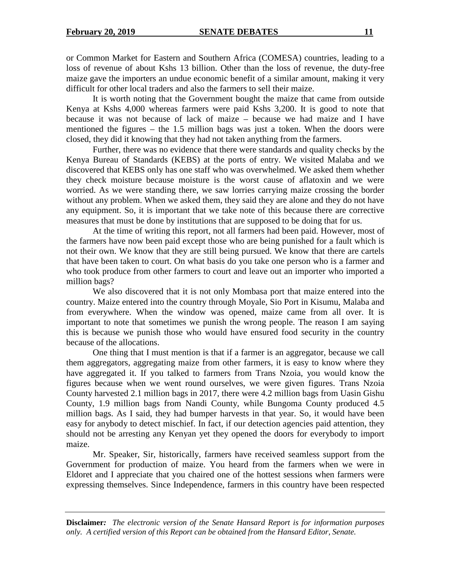or Common Market for Eastern and Southern Africa (COMESA) countries, leading to a loss of revenue of about Kshs 13 billion. Other than the loss of revenue, the duty-free maize gave the importers an undue economic benefit of a similar amount, making it very difficult for other local traders and also the farmers to sell their maize.

 It is worth noting that the Government bought the maize that came from outside Kenya at Kshs 4,000 whereas farmers were paid Kshs 3,200. It is good to note that because it was not because of lack of maize – because we had maize and I have mentioned the figures – the 1.5 million bags was just a token. When the doors were closed, they did it knowing that they had not taken anything from the farmers.

 Further, there was no evidence that there were standards and quality checks by the Kenya Bureau of Standards (KEBS) at the ports of entry. We visited Malaba and we discovered that KEBS only has one staff who was overwhelmed. We asked them whether they check moisture because moisture is the worst cause of aflatoxin and we were worried. As we were standing there, we saw lorries carrying maize crossing the border without any problem. When we asked them, they said they are alone and they do not have any equipment. So, it is important that we take note of this because there are corrective measures that must be done by institutions that are supposed to be doing that for us.

 At the time of writing this report, not all farmers had been paid. However, most of the farmers have now been paid except those who are being punished for a fault which is not their own. We know that they are still being pursued. We know that there are cartels that have been taken to court. On what basis do you take one person who is a farmer and who took produce from other farmers to court and leave out an importer who imported a million bags?

 We also discovered that it is not only Mombasa port that maize entered into the country. Maize entered into the country through Moyale, Sio Port in Kisumu, Malaba and from everywhere. When the window was opened, maize came from all over. It is important to note that sometimes we punish the wrong people. The reason I am saying this is because we punish those who would have ensured food security in the country because of the allocations.

 One thing that I must mention is that if a farmer is an aggregator, because we call them aggregators, aggregating maize from other farmers, it is easy to know where they have aggregated it. If you talked to farmers from Trans Nzoia, you would know the figures because when we went round ourselves, we were given figures. Trans Nzoia County harvested 2.1 million bags in 2017, there were 4.2 million bags from Uasin Gishu County, 1.9 million bags from Nandi County, while Bungoma County produced 4.5 million bags. As I said, they had bumper harvests in that year. So, it would have been easy for anybody to detect mischief. In fact, if our detection agencies paid attention, they should not be arresting any Kenyan yet they opened the doors for everybody to import maize.

 Mr. Speaker, Sir, historically, farmers have received seamless support from the Government for production of maize. You heard from the farmers when we were in Eldoret and I appreciate that you chaired one of the hottest sessions when farmers were expressing themselves. Since Independence, farmers in this country have been respected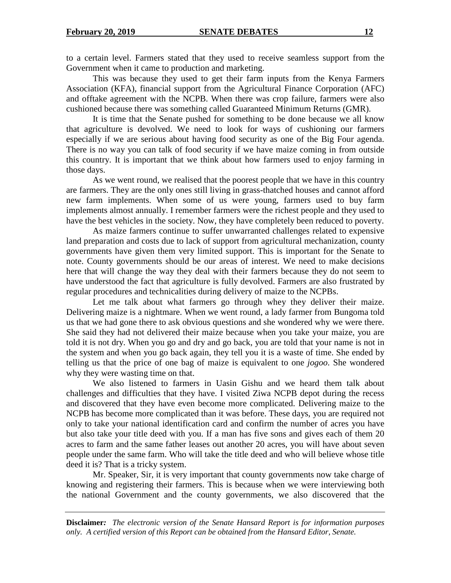to a certain level. Farmers stated that they used to receive seamless support from the Government when it came to production and marketing.

This was because they used to get their farm inputs from the Kenya Farmers Association (KFA), financial support from the Agricultural Finance Corporation (AFC) and offtake agreement with the NCPB. When there was crop failure, farmers were also cushioned because there was something called Guaranteed Minimum Returns (GMR).

 It is time that the Senate pushed for something to be done because we all know that agriculture is devolved. We need to look for ways of cushioning our farmers especially if we are serious about having food security as one of the Big Four agenda. There is no way you can talk of food security if we have maize coming in from outside this country. It is important that we think about how farmers used to enjoy farming in those days.

 As we went round, we realised that the poorest people that we have in this country are farmers. They are the only ones still living in grass-thatched houses and cannot afford new farm implements. When some of us were young, farmers used to buy farm implements almost annually. I remember farmers were the richest people and they used to have the best vehicles in the society. Now, they have completely been reduced to poverty.

 As maize farmers continue to suffer unwarranted challenges related to expensive land preparation and costs due to lack of support from agricultural mechanization, county governments have given them very limited support. This is important for the Senate to note. County governments should be our areas of interest. We need to make decisions here that will change the way they deal with their farmers because they do not seem to have understood the fact that agriculture is fully devolved. Farmers are also frustrated by regular procedures and technicalities during delivery of maize to the NCPBs.

 Let me talk about what farmers go through whey they deliver their maize. Delivering maize is a nightmare. When we went round, a lady farmer from Bungoma told us that we had gone there to ask obvious questions and she wondered why we were there. She said they had not delivered their maize because when you take your maize, you are told it is not dry. When you go and dry and go back, you are told that your name is not in the system and when you go back again, they tell you it is a waste of time. She ended by telling us that the price of one bag of maize is equivalent to one *jogoo*. She wondered why they were wasting time on that.

 We also listened to farmers in Uasin Gishu and we heard them talk about challenges and difficulties that they have. I visited Ziwa NCPB depot during the recess and discovered that they have even become more complicated. Delivering maize to the NCPB has become more complicated than it was before. These days, you are required not only to take your national identification card and confirm the number of acres you have but also take your title deed with you. If a man has five sons and gives each of them 20 acres to farm and the same father leases out another 20 acres, you will have about seven people under the same farm. Who will take the title deed and who will believe whose title deed it is? That is a tricky system.

Mr. Speaker, Sir, it is very important that county governments now take charge of knowing and registering their farmers. This is because when we were interviewing both the national Government and the county governments, we also discovered that the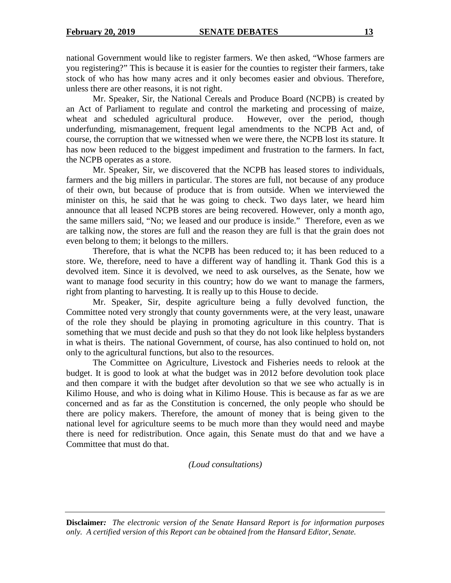national Government would like to register farmers. We then asked, "Whose farmers are you registering?" This is because it is easier for the counties to register their farmers, take stock of who has how many acres and it only becomes easier and obvious. Therefore, unless there are other reasons, it is not right.

 Mr. Speaker, Sir, the National Cereals and Produce Board (NCPB) is created by an Act of Parliament to regulate and control the marketing and processing of maize, wheat and scheduled agricultural produce. However, over the period, though underfunding, mismanagement, frequent legal amendments to the NCPB Act and, of course, the corruption that we witnessed when we were there, the NCPB lost its stature. It has now been reduced to the biggest impediment and frustration to the farmers. In fact, the NCPB operates as a store.

 Mr. Speaker, Sir, we discovered that the NCPB has leased stores to individuals, farmers and the big millers in particular. The stores are full, not because of any produce of their own, but because of produce that is from outside. When we interviewed the minister on this, he said that he was going to check. Two days later, we heard him announce that all leased NCPB stores are being recovered. However, only a month ago, the same millers said, "No; we leased and our produce is inside." Therefore, even as we are talking now, the stores are full and the reason they are full is that the grain does not even belong to them; it belongs to the millers.

Therefore, that is what the NCPB has been reduced to; it has been reduced to a store. We, therefore, need to have a different way of handling it. Thank God this is a devolved item. Since it is devolved, we need to ask ourselves, as the Senate, how we want to manage food security in this country; how do we want to manage the farmers, right from planting to harvesting. It is really up to this House to decide.

 Mr. Speaker, Sir, despite agriculture being a fully devolved function, the Committee noted very strongly that county governments were, at the very least, unaware of the role they should be playing in promoting agriculture in this country. That is something that we must decide and push so that they do not look like helpless bystanders in what is theirs. The national Government, of course, has also continued to hold on, not only to the agricultural functions, but also to the resources.

The Committee on Agriculture, Livestock and Fisheries needs to relook at the budget. It is good to look at what the budget was in 2012 before devolution took place and then compare it with the budget after devolution so that we see who actually is in Kilimo House, and who is doing what in Kilimo House. This is because as far as we are concerned and as far as the Constitution is concerned, the only people who should be there are policy makers. Therefore, the amount of money that is being given to the national level for agriculture seems to be much more than they would need and maybe there is need for redistribution. Once again, this Senate must do that and we have a Committee that must do that.

# *(Loud consultations)*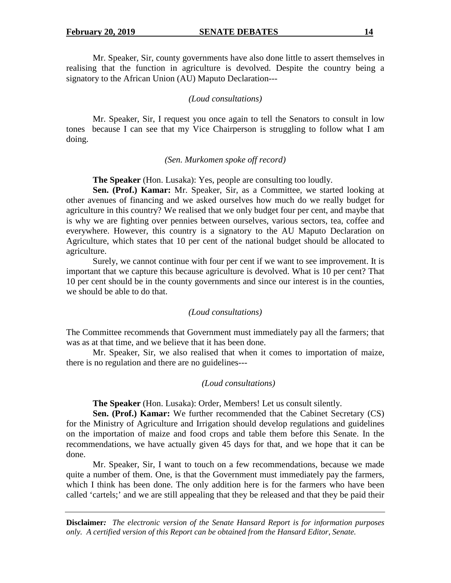Mr. Speaker, Sir, county governments have also done little to assert themselves in realising that the function in agriculture is devolved. Despite the country being a signatory to the African Union (AU) Maputo Declaration---

#### *(Loud consultations)*

 Mr. Speaker, Sir, I request you once again to tell the Senators to consult in low tones because I can see that my Vice Chairperson is struggling to follow what I am doing.

## *(Sen. Murkomen spoke off record)*

**The Speaker** (Hon. Lusaka): Yes, people are consulting too loudly.

**Sen. (Prof.) Kamar:** Mr. Speaker, Sir, as a Committee, we started looking at other avenues of financing and we asked ourselves how much do we really budget for agriculture in this country? We realised that we only budget four per cent, and maybe that is why we are fighting over pennies between ourselves, various sectors, tea, coffee and everywhere. However, this country is a signatory to the AU Maputo Declaration on Agriculture, which states that 10 per cent of the national budget should be allocated to agriculture.

Surely, we cannot continue with four per cent if we want to see improvement. It is important that we capture this because agriculture is devolved. What is 10 per cent? That 10 per cent should be in the county governments and since our interest is in the counties, we should be able to do that.

## *(Loud consultations)*

The Committee recommends that Government must immediately pay all the farmers; that was as at that time, and we believe that it has been done.

Mr. Speaker, Sir, we also realised that when it comes to importation of maize, there is no regulation and there are no guidelines---

#### *(Loud consultations)*

**The Speaker** (Hon. Lusaka): Order, Members! Let us consult silently.

**Sen. (Prof.) Kamar:** We further recommended that the Cabinet Secretary (CS) for the Ministry of Agriculture and Irrigation should develop regulations and guidelines on the importation of maize and food crops and table them before this Senate. In the recommendations, we have actually given 45 days for that, and we hope that it can be done.

 Mr. Speaker, Sir, I want to touch on a few recommendations, because we made quite a number of them. One, is that the Government must immediately pay the farmers, which I think has been done. The only addition here is for the farmers who have been called 'cartels;' and we are still appealing that they be released and that they be paid their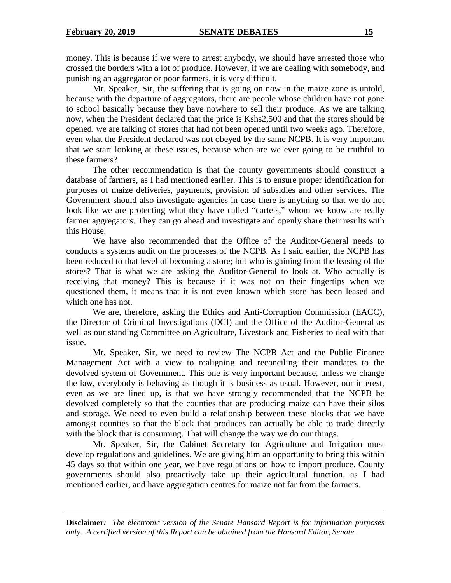money. This is because if we were to arrest anybody, we should have arrested those who crossed the borders with a lot of produce. However, if we are dealing with somebody, and punishing an aggregator or poor farmers, it is very difficult.

 Mr. Speaker, Sir, the suffering that is going on now in the maize zone is untold, because with the departure of aggregators, there are people whose children have not gone to school basically because they have nowhere to sell their produce. As we are talking now, when the President declared that the price is Kshs2,500 and that the stores should be opened, we are talking of stores that had not been opened until two weeks ago. Therefore, even what the President declared was not obeyed by the same NCPB. It is very important that we start looking at these issues, because when are we ever going to be truthful to these farmers?

 The other recommendation is that the county governments should construct a database of farmers, as I had mentioned earlier. This is to ensure proper identification for purposes of maize deliveries, payments, provision of subsidies and other services. The Government should also investigate agencies in case there is anything so that we do not look like we are protecting what they have called "cartels," whom we know are really farmer aggregators. They can go ahead and investigate and openly share their results with this House.

 We have also recommended that the Office of the Auditor-General needs to conducts a systems audit on the processes of the NCPB. As I said earlier, the NCPB has been reduced to that level of becoming a store; but who is gaining from the leasing of the stores? That is what we are asking the Auditor-General to look at. Who actually is receiving that money? This is because if it was not on their fingertips when we questioned them, it means that it is not even known which store has been leased and which one has not.

We are, therefore, asking the Ethics and Anti-Corruption Commission (EACC), the Director of Criminal Investigations (DCI) and the Office of the Auditor-General as well as our standing Committee on Agriculture, Livestock and Fisheries to deal with that issue.

 Mr. Speaker, Sir, we need to review The NCPB Act and the Public Finance Management Act with a view to realigning and reconciling their mandates to the devolved system of Government. This one is very important because, unless we change the law, everybody is behaving as though it is business as usual. However, our interest, even as we are lined up, is that we have strongly recommended that the NCPB be devolved completely so that the counties that are producing maize can have their silos and storage. We need to even build a relationship between these blocks that we have amongst counties so that the block that produces can actually be able to trade directly with the block that is consuming. That will change the way we do our things.

Mr. Speaker, Sir, the Cabinet Secretary for Agriculture and Irrigation must develop regulations and guidelines. We are giving him an opportunity to bring this within 45 days so that within one year, we have regulations on how to import produce. County governments should also proactively take up their agricultural function, as I had mentioned earlier, and have aggregation centres for maize not far from the farmers.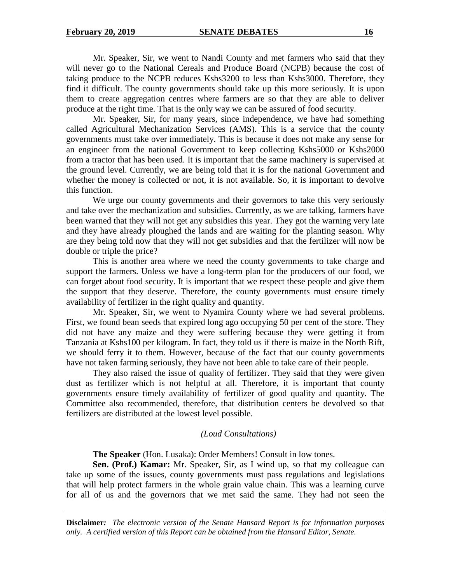Mr. Speaker, Sir, we went to Nandi County and met farmers who said that they will never go to the National Cereals and Produce Board (NCPB) because the cost of taking produce to the NCPB reduces Kshs3200 to less than Kshs3000. Therefore, they find it difficult. The county governments should take up this more seriously. It is upon them to create aggregation centres where farmers are so that they are able to deliver produce at the right time. That is the only way we can be assured of food security.

Mr. Speaker, Sir, for many years, since independence, we have had something called Agricultural Mechanization Services (AMS). This is a service that the county governments must take over immediately. This is because it does not make any sense for an engineer from the national Government to keep collecting Kshs5000 or Kshs2000 from a tractor that has been used. It is important that the same machinery is supervised at the ground level. Currently, we are being told that it is for the national Government and whether the money is collected or not, it is not available. So, it is important to devolve this function.

We urge our county governments and their governors to take this very seriously and take over the mechanization and subsidies. Currently, as we are talking, farmers have been warned that they will not get any subsidies this year. They got the warning very late and they have already ploughed the lands and are waiting for the planting season. Why are they being told now that they will not get subsidies and that the fertilizer will now be double or triple the price?

This is another area where we need the county governments to take charge and support the farmers. Unless we have a long-term plan for the producers of our food, we can forget about food security. It is important that we respect these people and give them the support that they deserve. Therefore, the county governments must ensure timely availability of fertilizer in the right quality and quantity.

Mr. Speaker, Sir, we went to Nyamira County where we had several problems. First, we found bean seeds that expired long ago occupying 50 per cent of the store. They did not have any maize and they were suffering because they were getting it from Tanzania at Kshs100 per kilogram. In fact, they told us if there is maize in the North Rift, we should ferry it to them. However, because of the fact that our county governments have not taken farming seriously, they have not been able to take care of their people.

They also raised the issue of quality of fertilizer. They said that they were given dust as fertilizer which is not helpful at all. Therefore, it is important that county governments ensure timely availability of fertilizer of good quality and quantity. The Committee also recommended, therefore, that distribution centers be devolved so that fertilizers are distributed at the lowest level possible.

# *(Loud Consultations)*

**The Speaker** (Hon. Lusaka): Order Members! Consult in low tones.

**Sen. (Prof.) Kamar:** Mr. Speaker, Sir, as I wind up, so that my colleague can take up some of the issues, county governments must pass regulations and legislations that will help protect farmers in the whole grain value chain. This was a learning curve for all of us and the governors that we met said the same. They had not seen the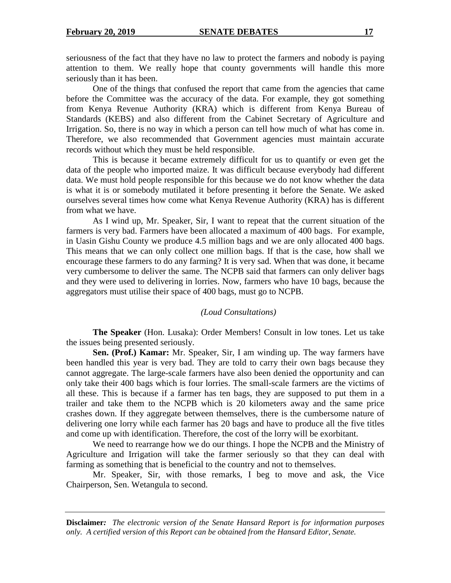seriousness of the fact that they have no law to protect the farmers and nobody is paying attention to them. We really hope that county governments will handle this more seriously than it has been.

One of the things that confused the report that came from the agencies that came before the Committee was the accuracy of the data. For example, they got something from Kenya Revenue Authority (KRA) which is different from Kenya Bureau of Standards (KEBS) and also different from the Cabinet Secretary of Agriculture and Irrigation. So, there is no way in which a person can tell how much of what has come in. Therefore, we also recommended that Government agencies must maintain accurate records without which they must be held responsible.

This is because it became extremely difficult for us to quantify or even get the data of the people who imported maize. It was difficult because everybody had different data. We must hold people responsible for this because we do not know whether the data is what it is or somebody mutilated it before presenting it before the Senate. We asked ourselves several times how come what Kenya Revenue Authority (KRA) has is different from what we have.

As I wind up, Mr. Speaker, Sir, I want to repeat that the current situation of the farmers is very bad. Farmers have been allocated a maximum of 400 bags. For example, in Uasin Gishu County we produce 4.5 million bags and we are only allocated 400 bags. This means that we can only collect one million bags. If that is the case, how shall we encourage these farmers to do any farming? It is very sad. When that was done, it became very cumbersome to deliver the same. The NCPB said that farmers can only deliver bags and they were used to delivering in lorries. Now, farmers who have 10 bags, because the aggregators must utilise their space of 400 bags, must go to NCPB.

# *(Loud Consultations)*

**The Speaker** (Hon. Lusaka): Order Members! Consult in low tones. Let us take the issues being presented seriously.

**Sen. (Prof.) Kamar:** Mr. Speaker, Sir, I am winding up. The way farmers have been handled this year is very bad. They are told to carry their own bags because they cannot aggregate. The large-scale farmers have also been denied the opportunity and can only take their 400 bags which is four lorries. The small-scale farmers are the victims of all these. This is because if a farmer has ten bags, they are supposed to put them in a trailer and take them to the NCPB which is 20 kilometers away and the same price crashes down. If they aggregate between themselves, there is the cumbersome nature of delivering one lorry while each farmer has 20 bags and have to produce all the five titles and come up with identification. Therefore, the cost of the lorry will be exorbitant.

We need to rearrange how we do our things. I hope the NCPB and the Ministry of Agriculture and Irrigation will take the farmer seriously so that they can deal with farming as something that is beneficial to the country and not to themselves.

Mr. Speaker, Sir, with those remarks, I beg to move and ask, the Vice Chairperson, Sen. Wetangula to second.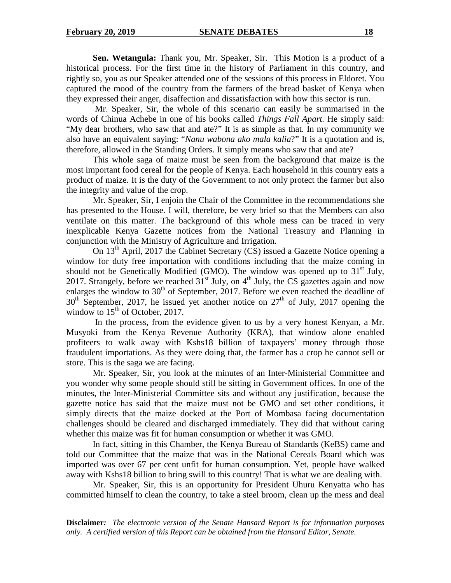**Sen. Wetangula:** Thank you, Mr. Speaker, Sir. This Motion is a product of a historical process. For the first time in the history of Parliament in this country, and rightly so, you as our Speaker attended one of the sessions of this process in Eldoret. You captured the mood of the country from the farmers of the bread basket of Kenya when they expressed their anger, disaffection and dissatisfaction with how this sector is run.

 Mr. Speaker, Sir, the whole of this scenario can easily be summarised in the words of Chinua Achebe in one of his books called *Things Fall Apart.* He simply said: "My dear brothers, who saw that and ate?" It is as simple as that. In my community we also have an equivalent saying: "*Nanu wabona ako mala kalia*?" It is a quotation and is, therefore, allowed in the Standing Orders. It simply means who saw that and ate?

 This whole saga of maize must be seen from the background that maize is the most important food cereal for the people of Kenya. Each household in this country eats a product of maize. It is the duty of the Government to not only protect the farmer but also the integrity and value of the crop.

 Mr. Speaker, Sir, I enjoin the Chair of the Committee in the recommendations she has presented to the House. I will, therefore, be very brief so that the Members can also ventilate on this matter. The background of this whole mess can be traced in very inexplicable Kenya Gazette notices from the National Treasury and Planning in conjunction with the Ministry of Agriculture and Irrigation.

On 13th April, 2017 the Cabinet Secretary (CS) issued a Gazette Notice opening a window for duty free importation with conditions including that the maize coming in should not be Genetically Modified (GMO). The window was opened up to  $31<sup>st</sup>$  July, 2017. Strangely, before we reached  $31<sup>st</sup>$  July, on  $4<sup>th</sup>$  July, the CS gazettes again and now enlarges the window to  $30<sup>th</sup>$  of September, 2017. Before we even reached the deadline of  $30<sup>th</sup>$  September, 2017, he issued yet another notice on  $27<sup>th</sup>$  of July, 2017 opening the window to  $15<sup>th</sup>$  of October, 2017.

 In the process, from the evidence given to us by a very honest Kenyan, a Mr. Musyoki from the Kenya Revenue Authority (KRA), that window alone enabled profiteers to walk away with Kshs18 billion of taxpayers' money through those fraudulent importations. As they were doing that, the farmer has a crop he cannot sell or store. This is the saga we are facing.

 Mr. Speaker, Sir, you look at the minutes of an Inter-Ministerial Committee and you wonder why some people should still be sitting in Government offices. In one of the minutes, the Inter-Ministerial Committee sits and without any justification, because the gazette notice has said that the maize must not be GMO and set other conditions, it simply directs that the maize docked at the Port of Mombasa facing documentation challenges should be cleared and discharged immediately. They did that without caring whether this maize was fit for human consumption or whether it was GMO.

In fact, sitting in this Chamber, the Kenya Bureau of Standards (KeBS) came and told our Committee that the maize that was in the National Cereals Board which was imported was over 67 per cent unfit for human consumption. Yet, people have walked away with Kshs18 billion to bring swill to this country! That is what we are dealing with.

Mr. Speaker, Sir, this is an opportunity for President Uhuru Kenyatta who has committed himself to clean the country, to take a steel broom, clean up the mess and deal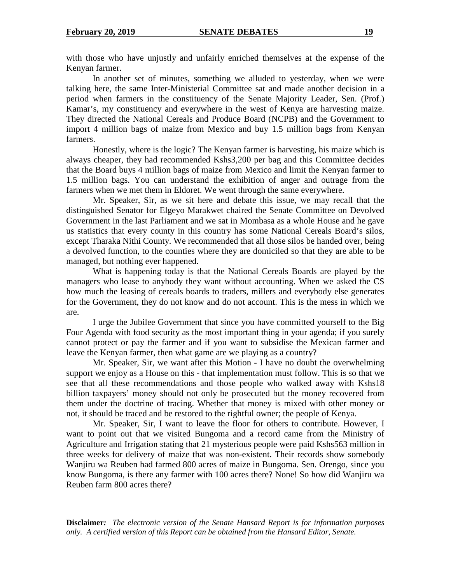with those who have unjustly and unfairly enriched themselves at the expense of the Kenyan farmer.

 In another set of minutes, something we alluded to yesterday, when we were talking here, the same Inter-Ministerial Committee sat and made another decision in a period when farmers in the constituency of the Senate Majority Leader, Sen. (Prof.) Kamar's, my constituency and everywhere in the west of Kenya are harvesting maize. They directed the National Cereals and Produce Board (NCPB) and the Government to import 4 million bags of maize from Mexico and buy 1.5 million bags from Kenyan farmers.

Honestly, where is the logic? The Kenyan farmer is harvesting, his maize which is always cheaper, they had recommended Kshs3,200 per bag and this Committee decides that the Board buys 4 million bags of maize from Mexico and limit the Kenyan farmer to 1.5 million bags. You can understand the exhibition of anger and outrage from the farmers when we met them in Eldoret. We went through the same everywhere.

Mr. Speaker, Sir, as we sit here and debate this issue, we may recall that the distinguished Senator for Elgeyo Marakwet chaired the Senate Committee on Devolved Government in the last Parliament and we sat in Mombasa as a whole House and he gave us statistics that every county in this country has some National Cereals Board's silos, except Tharaka Nithi County. We recommended that all those silos be handed over, being a devolved function, to the counties where they are domiciled so that they are able to be managed, but nothing ever happened.

What is happening today is that the National Cereals Boards are played by the managers who lease to anybody they want without accounting. When we asked the CS how much the leasing of cereals boards to traders, millers and everybody else generates for the Government, they do not know and do not account. This is the mess in which we are.

I urge the Jubilee Government that since you have committed yourself to the Big Four Agenda with food security as the most important thing in your agenda; if you surely cannot protect or pay the farmer and if you want to subsidise the Mexican farmer and leave the Kenyan farmer, then what game are we playing as a country?

Mr. Speaker, Sir, we want after this Motion - I have no doubt the overwhelming support we enjoy as a House on this - that implementation must follow. This is so that we see that all these recommendations and those people who walked away with Kshs18 billion taxpayers' money should not only be prosecuted but the money recovered from them under the doctrine of tracing. Whether that money is mixed with other money or not, it should be traced and be restored to the rightful owner; the people of Kenya.

Mr. Speaker, Sir, I want to leave the floor for others to contribute. However, I want to point out that we visited Bungoma and a record came from the Ministry of Agriculture and Irrigation stating that 21 mysterious people were paid Kshs563 million in three weeks for delivery of maize that was non-existent. Their records show somebody Wanjiru wa Reuben had farmed 800 acres of maize in Bungoma. Sen. Orengo, since you know Bungoma, is there any farmer with 100 acres there? None! So how did Wanjiru wa Reuben farm 800 acres there?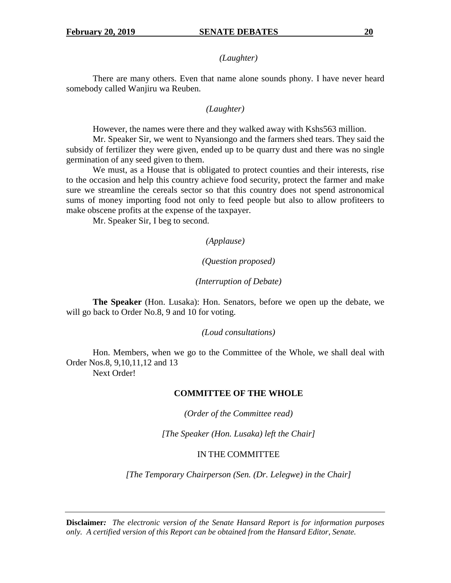# *(Laughter)*

There are many others. Even that name alone sounds phony. I have never heard somebody called Wanjiru wa Reuben.

# *(Laughter)*

However, the names were there and they walked away with Kshs563 million.

Mr. Speaker Sir, we went to Nyansiongo and the farmers shed tears. They said the subsidy of fertilizer they were given, ended up to be quarry dust and there was no single germination of any seed given to them.

 We must, as a House that is obligated to protect counties and their interests, rise to the occasion and help this country achieve food security, protect the farmer and make sure we streamline the cereals sector so that this country does not spend astronomical sums of money importing food not only to feed people but also to allow profiteers to make obscene profits at the expense of the taxpayer.

Mr. Speaker Sir, I beg to second.

*(Applause)* 

# *(Question proposed)*

# *(Interruption of Debate)*

**The Speaker** (Hon. Lusaka): Hon. Senators, before we open up the debate, we will go back to Order No.8, 9 and 10 for voting.

## *(Loud consultations)*

Hon. Members, when we go to the Committee of the Whole, we shall deal with Order Nos.8, 9,10,11,12 and 13 Next Order!

## **COMMITTEE OF THE WHOLE**

*(Order of the Committee read)* 

*[The Speaker (Hon. Lusaka) left the Chair]* 

# IN THE COMMITTEE

*[The Temporary Chairperson (Sen. (Dr. Lelegwe) in the Chair]*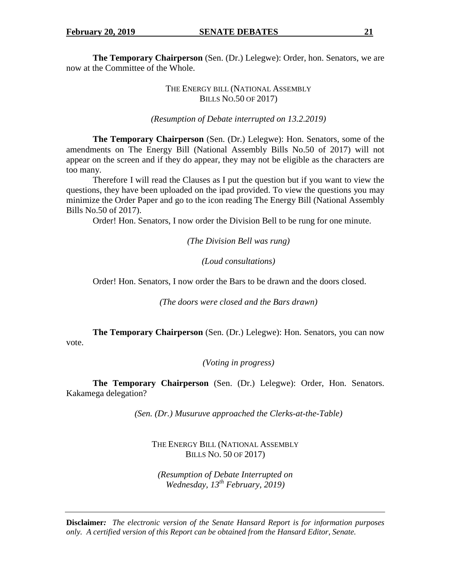**The Temporary Chairperson** (Sen. (Dr.) Lelegwe): Order, hon. Senators, we are now at the Committee of the Whole.

# THE ENERGY BILL (NATIONAL ASSEMBLY BILLS NO.50 OF 2017)

*(Resumption of Debate interrupted on 13.2.2019)* 

**The Temporary Chairperson** (Sen. (Dr.) Lelegwe): Hon. Senators, some of the amendments on The Energy Bill (National Assembly Bills No.50 of 2017) will not appear on the screen and if they do appear, they may not be eligible as the characters are too many.

Therefore I will read the Clauses as I put the question but if you want to view the questions, they have been uploaded on the ipad provided. To view the questions you may minimize the Order Paper and go to the icon reading The Energy Bill (National Assembly Bills No.50 of 2017).

Order! Hon. Senators, I now order the Division Bell to be rung for one minute.

*(The Division Bell was rung)* 

*(Loud consultations)* 

Order! Hon. Senators, I now order the Bars to be drawn and the doors closed.

*(The doors were closed and the Bars drawn)* 

**The Temporary Chairperson** (Sen. (Dr.) Lelegwe): Hon. Senators, you can now vote.

*(Voting in progress)* 

**The Temporary Chairperson** (Sen. (Dr.) Lelegwe): Order, Hon. Senators. Kakamega delegation?

*(Sen. (Dr.) Musuruve approached the Clerks-at-the-Table)* 

THE ENERGY BILL (NATIONAL ASSEMBLY BILLS NO. 50 OF 2017)

*(Resumption of Debate Interrupted on Wednesday, 13th February, 2019)*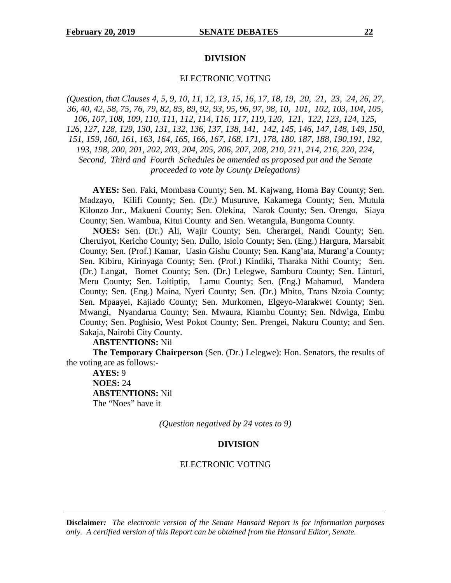#### **DIVISION**

#### ELECTRONIC VOTING

*(Question, that Clauses 4, 5, 9, 10, 11, 12, 13, 15, 16, 17, 18, 19, 20, 21, 23, 24, 26, 27, 36, 40, 42, 58, 75, 76, 79, 82, 85, 89, 92, 93, 95, 96, 97, 98, 10, 101, 102, 103, 104, 105, 106, 107, 108, 109, 110, 111, 112, 114, 116, 117, 119, 120, 121, 122, 123, 124, 125, 126, 127, 128, 129, 130, 131, 132, 136, 137, 138, 141, 142, 145, 146, 147, 148, 149, 150, 151, 159, 160, 161, 163, 164, 165, 166, 167, 168, 171, 178, 180, 187, 188, 190,191, 192, 193, 198, 200, 201, 202, 203, 204, 205, 206, 207, 208, 210, 211, 214, 216, 220, 224, Second, Third and Fourth Schedules be amended as proposed put and the Senate proceeded to vote by County Delegations)* 

 **AYES:** Sen. Faki, Mombasa County; Sen. M. Kajwang, Homa Bay County; Sen. Madzayo, Kilifi County; Sen. (Dr.) Musuruve, Kakamega County; Sen. Mutula Kilonzo Jnr., Makueni County; Sen. Olekina, Narok County; Sen. Orengo, Siaya County; Sen. Wambua, Kitui County and Sen. Wetangula, Bungoma County.

 **NOES:** Sen. (Dr.) Ali, Wajir County; Sen. Cherargei, Nandi County; Sen. Cheruiyot, Kericho County; Sen. Dullo, Isiolo County; Sen. (Eng.) Hargura, Marsabit County; Sen. (Prof.) Kamar, Uasin Gishu County; Sen. Kang'ata, Murang'a County; Sen. Kibiru, Kirinyaga County; Sen. (Prof.) Kindiki, Tharaka Nithi County; Sen. (Dr.) Langat, Bomet County; Sen. (Dr.) Lelegwe, Samburu County; Sen. Linturi, Meru County; Sen. Loitiptip, Lamu County; Sen. (Eng.) Mahamud, Mandera County; Sen. (Eng.) Maina, Nyeri County; Sen. (Dr.) Mbito, Trans Nzoia County; Sen. Mpaayei, Kajiado County; Sen. Murkomen, Elgeyo-Marakwet County; Sen. Mwangi, Nyandarua County; Sen. Mwaura, Kiambu County; Sen. Ndwiga, Embu County; Sen. Poghisio, West Pokot County; Sen. Prengei, Nakuru County; and Sen. Sakaja, Nairobi City County.

#### **ABSTENTIONS:** Nil

**The Temporary Chairperson** (Sen. (Dr.) Lelegwe): Hon. Senators, the results of the voting are as follows:-

 **AYES:** 9  **NOES:** 24  **ABSTENTIONS:** Nil The "Noes" have it

*(Question negatived by 24 votes to 9)* 

#### **DIVISION**

#### ELECTRONIC VOTING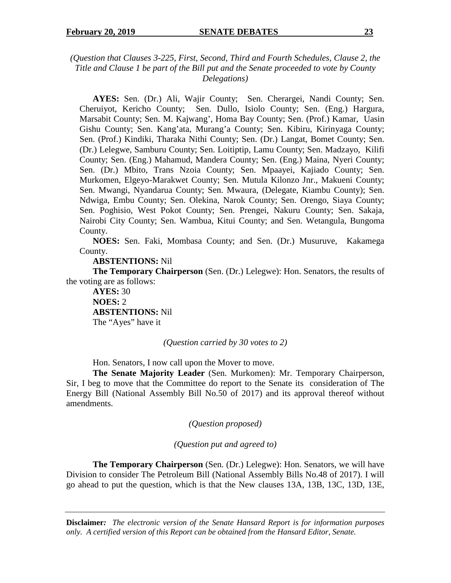# *(Question that Clauses 3-225, First, Second, Third and Fourth Schedules, Clause 2, the Title and Clause 1 be part of the Bill put and the Senate proceeded to vote by County Delegations)*

 **AYES:** Sen. (Dr.) Ali, Wajir County; Sen. Cherargei, Nandi County; Sen. Cheruiyot, Kericho County; Sen. Dullo, Isiolo County; Sen. (Eng.) Hargura, Marsabit County; Sen. M. Kajwang', Homa Bay County; Sen. (Prof.) Kamar, Uasin Gishu County; Sen. Kang'ata, Murang'a County; Sen. Kibiru, Kirinyaga County; Sen. (Prof.) Kindiki, Tharaka Nithi County; Sen. (Dr.) Langat, Bomet County; Sen. (Dr.) Lelegwe, Samburu County; Sen. Loitiptip, Lamu County; Sen. Madzayo, Kilifi County; Sen. (Eng.) Mahamud, Mandera County; Sen. (Eng.) Maina, Nyeri County; Sen. (Dr.) Mbito, Trans Nzoia County; Sen. Mpaayei, Kajiado County; Sen. Murkomen, Elgeyo-Marakwet County; Sen. Mutula Kilonzo Jnr., Makueni County; Sen. Mwangi, Nyandarua County; Sen. Mwaura, (Delegate, Kiambu County); Sen. Ndwiga, Embu County; Sen. Olekina, Narok County; Sen. Orengo, Siaya County; Sen. Poghisio, West Pokot County; Sen. Prengei, Nakuru County; Sen. Sakaja, Nairobi City County; Sen. Wambua, Kitui County; and Sen. Wetangula, Bungoma County.

 **NOES:** Sen. Faki, Mombasa County; and Sen. (Dr.) Musuruve, Kakamega County.

 **ABSTENTIONS:** Nil

**The Temporary Chairperson** (Sen. (Dr.) Lelegwe): Hon. Senators, the results of the voting are as follows:

 **AYES:** 30  **NOES:** 2  **ABSTENTIONS:** Nil The "Ayes" have it

*(Question carried by 30 votes to 2)* 

Hon. Senators, I now call upon the Mover to move.

**The Senate Majority Leader** (Sen. Murkomen): Mr. Temporary Chairperson, Sir, I beg to move that the Committee do report to the Senate its consideration of The Energy Bill (National Assembly Bill No.50 of 2017) and its approval thereof without amendments.

*(Question proposed)* 

*(Question put and agreed to)* 

 **The Temporary Chairperson** (Sen. (Dr.) Lelegwe): Hon. Senators, we will have Division to consider The Petroleum Bill (National Assembly Bills No.48 of 2017). I will go ahead to put the question, which is that the New clauses 13A, 13B, 13C, 13D, 13E,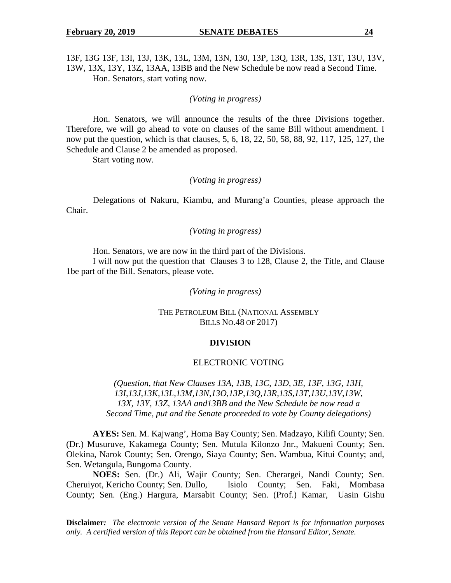13F, 13G 13F, 13I, 13J, 13K, 13L, 13M, 13N, 130, 13P, 13Q, 13R, 13S, 13T, 13U, 13V, 13W, 13X, 13Y, 13Z, 13AA, 13BB and the New Schedule be now read a Second Time. Hon. Senators, start voting now.

*(Voting in progress)* 

 Hon. Senators, we will announce the results of the three Divisions together. Therefore, we will go ahead to vote on clauses of the same Bill without amendment. I now put the question, which is that clauses, 5, 6, 18, 22, 50, 58, 88, 92, 117, 125, 127, the Schedule and Clause 2 be amended as proposed.

Start voting now.

## *(Voting in progress)*

Delegations of Nakuru, Kiambu, and Murang'a Counties, please approach the Chair.

# *(Voting in progress)*

Hon. Senators, we are now in the third part of the Divisions.

I will now put the question that Clauses 3 to 128, Clause 2, the Title, and Clause 1be part of the Bill. Senators, please vote.

*(Voting in progress)* 

THE PETROLEUM BILL (NATIONAL ASSEMBLY BILLS NO.48 OF 2017)

#### **DIVISION**

#### ELECTRONIC VOTING

*(Question, that New Clauses 13A, 13B, 13C, 13D, 3E, 13F, 13G, 13H, 13I,13J,13K,13L,13M,13N,13O,13P,13Q,13R,13S,13T,13U,13V,13W, 13X, 13Y, 13Z, 13AA and13BB and the New Schedule be now read a Second Time, put and the Senate proceeded to vote by County delegations)* 

**AYES:** Sen. M. Kajwang', Homa Bay County; Sen. Madzayo, Kilifi County; Sen. (Dr.) Musuruve, Kakamega County; Sen. Mutula Kilonzo Jnr., Makueni County; Sen. Olekina, Narok County; Sen. Orengo, Siaya County; Sen. Wambua, Kitui County; and, Sen. Wetangula, Bungoma County.

**NOES:** Sen. (Dr.) Ali, Wajir County; Sen. Cherargei, Nandi County; Sen. Cheruiyot, Kericho County; Sen. Dullo, Isiolo County; Sen. Faki, Mombasa County; Sen. (Eng.) Hargura, Marsabit County; Sen. (Prof.) Kamar, Uasin Gishu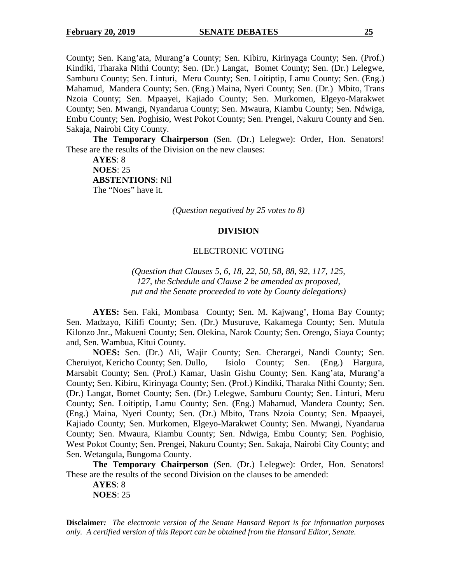County; Sen. Kang'ata, Murang'a County; Sen. Kibiru, Kirinyaga County; Sen. (Prof.) Kindiki, Tharaka Nithi County; Sen. (Dr.) Langat, Bomet County; Sen. (Dr.) Lelegwe, Samburu County; Sen. Linturi, Meru County; Sen. Loitiptip, Lamu County; Sen. (Eng.) Mahamud, Mandera County; Sen. (Eng.) Maina, Nyeri County; Sen. (Dr.) Mbito, Trans Nzoia County; Sen. Mpaayei, Kajiado County; Sen. Murkomen, Elgeyo-Marakwet County; Sen. Mwangi, Nyandarua County; Sen. Mwaura, Kiambu County; Sen. Ndwiga, Embu County; Sen. Poghisio, West Pokot County; Sen. Prengei, Nakuru County and Sen. Sakaja, Nairobi City County.

**The Temporary Chairperson** (Sen. (Dr.) Lelegwe): Order, Hon. Senators! These are the results of the Division on the new clauses:

**AYES**: 8 **NOES**: 25 **ABSTENTIONS**: Nil The "Noes" have it.

*(Question negatived by 25 votes to 8)*

#### **DIVISION**

#### ELECTRONIC VOTING

*(Question that Clauses 5, 6, 18, 22, 50, 58, 88, 92, 117, 125, 127, the Schedule and Clause 2 be amended as proposed, put and the Senate proceeded to vote by County delegations)*

**AYES:** Sen. Faki, Mombasa County; Sen. M. Kajwang', Homa Bay County; Sen. Madzayo, Kilifi County; Sen. (Dr.) Musuruve, Kakamega County; Sen. Mutula Kilonzo Jnr., Makueni County; Sen. Olekina, Narok County; Sen. Orengo, Siaya County; and, Sen. Wambua, Kitui County.

**NOES:** Sen. (Dr.) Ali, Wajir County; Sen. Cherargei, Nandi County; Sen. Cheruiyot, Kericho County; Sen. Dullo, Isiolo County; Sen. (Eng.) Hargura, Marsabit County; Sen. (Prof.) Kamar, Uasin Gishu County; Sen. Kang'ata, Murang'a County; Sen. Kibiru, Kirinyaga County; Sen. (Prof.) Kindiki, Tharaka Nithi County; Sen. (Dr.) Langat, Bomet County; Sen. (Dr.) Lelegwe, Samburu County; Sen. Linturi, Meru County; Sen. Loitiptip, Lamu County; Sen. (Eng.) Mahamud, Mandera County; Sen. (Eng.) Maina, Nyeri County; Sen. (Dr.) Mbito, Trans Nzoia County; Sen. Mpaayei, Kajiado County; Sen. Murkomen, Elgeyo-Marakwet County; Sen. Mwangi, Nyandarua County; Sen. Mwaura, Kiambu County; Sen. Ndwiga, Embu County; Sen. Poghisio, West Pokot County; Sen. Prengei, Nakuru County; Sen. Sakaja, Nairobi City County; and Sen. Wetangula, Bungoma County.

**The Temporary Chairperson** (Sen. (Dr.) Lelegwe): Order, Hon. Senators! These are the results of the second Division on the clauses to be amended:

**AYES**: 8 **NOES**: 25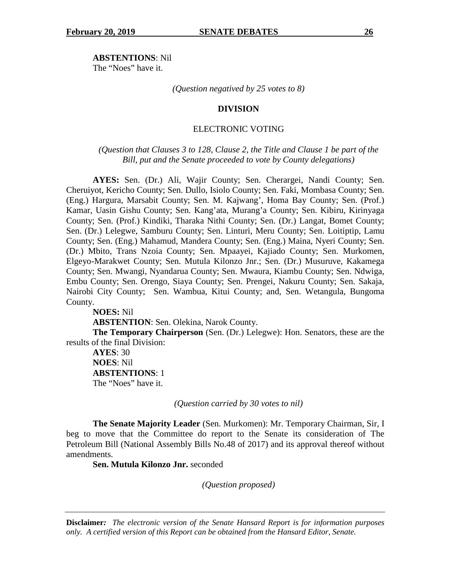**ABSTENTIONS**: Nil The "Noes" have it.

*(Question negatived by 25 votes to 8)*

#### **DIVISION**

# ELECTRONIC VOTING

*(Question that Clauses 3 to 128, Clause 2, the Title and Clause 1 be part of the Bill, put and the Senate proceeded to vote by County delegations)*

**AYES:** Sen. (Dr.) Ali, Wajir County; Sen. Cherargei, Nandi County; Sen. Cheruiyot, Kericho County; Sen. Dullo, Isiolo County; Sen. Faki, Mombasa County; Sen. (Eng.) Hargura, Marsabit County; Sen. M. Kajwang', Homa Bay County; Sen. (Prof.) Kamar, Uasin Gishu County; Sen. Kang'ata, Murang'a County; Sen. Kibiru, Kirinyaga County; Sen. (Prof.) Kindiki, Tharaka Nithi County; Sen. (Dr.) Langat, Bomet County; Sen. (Dr.) Lelegwe, Samburu County; Sen. Linturi, Meru County; Sen. Loitiptip, Lamu County; Sen. (Eng.) Mahamud, Mandera County; Sen. (Eng.) Maina, Nyeri County; Sen. (Dr.) Mbito, Trans Nzoia County; Sen. Mpaayei, Kajiado County; Sen. Murkomen, Elgeyo-Marakwet County; Sen. Mutula Kilonzo Jnr.; Sen. (Dr.) Musuruve, Kakamega County; Sen. Mwangi, Nyandarua County; Sen. Mwaura, Kiambu County; Sen. Ndwiga, Embu County; Sen. Orengo, Siaya County; Sen. Prengei, Nakuru County; Sen. Sakaja, Nairobi City County; Sen. Wambua, Kitui County; and, Sen. Wetangula, Bungoma County.

**NOES:** Nil **ABSTENTION**: Sen. Olekina, Narok County.

**The Temporary Chairperson** (Sen. (Dr.) Lelegwe): Hon. Senators, these are the results of the final Division:

**AYES**: 30 **NOES**: Nil **ABSTENTIONS**: 1 The "Noes" have it.

*(Question carried by 30 votes to nil)*

 **The Senate Majority Leader** (Sen. Murkomen): Mr. Temporary Chairman, Sir, I beg to move that the Committee do report to the Senate its consideration of The Petroleum Bill (National Assembly Bills No.48 of 2017) and its approval thereof without amendments.

**Sen. Mutula Kilonzo Jnr.** seconded

*(Question proposed)*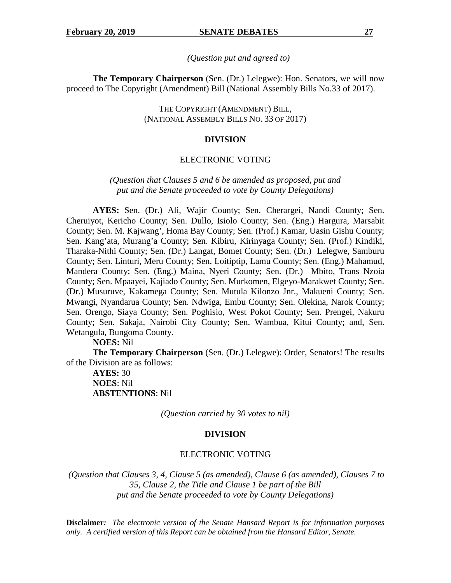*(Question put and agreed to)* 

**The Temporary Chairperson** (Sen. (Dr.) Lelegwe): Hon. Senators, we will now proceed to The Copyright (Amendment) Bill (National Assembly Bills No.33 of 2017).

> THE COPYRIGHT (AMENDMENT) BILL, (NATIONAL ASSEMBLY BILLS NO. 33 OF 2017)

#### **DIVISION**

#### ELECTRONIC VOTING

*(Question that Clauses 5 and 6 be amended as proposed, put and put and the Senate proceeded to vote by County Delegations)* 

**AYES:** Sen. (Dr.) Ali, Wajir County; Sen. Cherargei, Nandi County; Sen. Cheruiyot, Kericho County; Sen. Dullo, Isiolo County; Sen. (Eng.) Hargura, Marsabit County; Sen. M. Kajwang', Homa Bay County; Sen. (Prof.) Kamar, Uasin Gishu County; Sen. Kang'ata, Murang'a County; Sen. Kibiru, Kirinyaga County; Sen. (Prof.) Kindiki, Tharaka-Nithi County; Sen. (Dr.) Langat, Bomet County; Sen. (Dr.) Lelegwe, Samburu County; Sen. Linturi, Meru County; Sen. Loitiptip, Lamu County; Sen. (Eng.) Mahamud, Mandera County; Sen. (Eng.) Maina, Nyeri County; Sen. (Dr.) Mbito, Trans Nzoia County; Sen. Mpaayei, Kajiado County; Sen. Murkomen, Elgeyo-Marakwet County; Sen. (Dr.) Musuruve, Kakamega County; Sen. Mutula Kilonzo Jnr., Makueni County; Sen. Mwangi, Nyandarua County; Sen. Ndwiga, Embu County; Sen. Olekina, Narok County; Sen. Orengo, Siaya County; Sen. Poghisio, West Pokot County; Sen. Prengei, Nakuru County; Sen. Sakaja, Nairobi City County; Sen. Wambua, Kitui County; and, Sen. Wetangula, Bungoma County.

#### **NOES:** Nil

**The Temporary Chairperson** (Sen. (Dr.) Lelegwe): Order, Senators! The results of the Division are as follows:

**AYES:** 30 **NOES**: Nil **ABSTENTIONS**: Nil

*(Question carried by 30 votes to nil)* 

#### **DIVISION**

## ELECTRONIC VOTING

 *(Question that Clauses 3, 4, Clause 5 (as amended), Clause 6 (as amended), Clauses 7 to 35, Clause 2, the Title and Clause 1 be part of the Bill put and the Senate proceeded to vote by County Delegations)*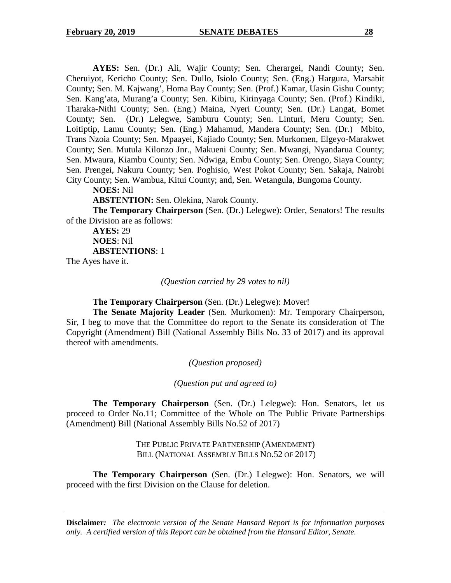**AYES:** Sen. (Dr.) Ali, Wajir County; Sen. Cherargei, Nandi County; Sen. Cheruiyot, Kericho County; Sen. Dullo, Isiolo County; Sen. (Eng.) Hargura, Marsabit County; Sen. M. Kajwang', Homa Bay County; Sen. (Prof.) Kamar, Uasin Gishu County; Sen. Kang'ata, Murang'a County; Sen. Kibiru, Kirinyaga County; Sen. (Prof.) Kindiki, Tharaka-Nithi County; Sen. (Eng.) Maina, Nyeri County; Sen. (Dr.) Langat, Bomet County; Sen. (Dr.) Lelegwe, Samburu County; Sen. Linturi, Meru County; Sen. Loitiptip, Lamu County; Sen. (Eng.) Mahamud, Mandera County; Sen. (Dr.) Mbito, Trans Nzoia County; Sen. Mpaayei, Kajiado County; Sen. Murkomen, Elgeyo-Marakwet County; Sen. Mutula Kilonzo Jnr., Makueni County; Sen. Mwangi, Nyandarua County; Sen. Mwaura, Kiambu County; Sen. Ndwiga, Embu County; Sen. Orengo, Siaya County; Sen. Prengei, Nakuru County; Sen. Poghisio, West Pokot County; Sen. Sakaja, Nairobi City County; Sen. Wambua, Kitui County; and, Sen. Wetangula, Bungoma County.

## **NOES:** Nil

**ABSTENTION:** Sen. Olekina, Narok County.

**The Temporary Chairperson** (Sen. (Dr.) Lelegwe): Order, Senators! The results of the Division are as follows:

**AYES:** 29 **NOES**: Nil **ABSTENTIONS**: 1

The Ayes have it.

*(Question carried by 29 votes to nil)* 

**The Temporary Chairperson** (Sen. (Dr.) Lelegwe): Mover!

**The Senate Majority Leader** (Sen. Murkomen): Mr. Temporary Chairperson, Sir, I beg to move that the Committee do report to the Senate its consideration of The Copyright (Amendment) Bill (National Assembly Bills No. 33 of 2017) and its approval thereof with amendments.

*(Question proposed)* 

*(Question put and agreed to)* 

**The Temporary Chairperson** (Sen. (Dr.) Lelegwe): Hon. Senators, let us proceed to Order No.11; Committee of the Whole on The Public Private Partnerships (Amendment) Bill (National Assembly Bills No.52 of 2017)

> THE PUBLIC PRIVATE PARTNERSHIP (AMENDMENT) BILL (NATIONAL ASSEMBLY BILLS NO.52 OF 2017)

**The Temporary Chairperson** (Sen. (Dr.) Lelegwe): Hon. Senators, we will proceed with the first Division on the Clause for deletion.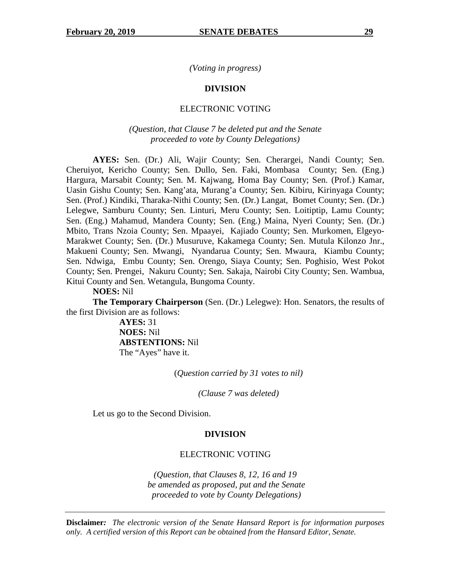*(Voting in progress)* 

#### **DIVISION**

#### ELECTRONIC VOTING

# *(Question, that Clause 7 be deleted put and the Senate proceeded to vote by County Delegations)*

**AYES:** Sen. (Dr.) Ali, Wajir County; Sen. Cherargei, Nandi County; Sen. Cheruiyot, Kericho County; Sen. Dullo, Sen. Faki, Mombasa County; Sen. (Eng.) Hargura, Marsabit County; Sen. M. Kajwang, Homa Bay County; Sen. (Prof.) Kamar, Uasin Gishu County; Sen. Kang'ata, Murang'a County; Sen. Kibiru, Kirinyaga County; Sen. (Prof.) Kindiki, Tharaka-Nithi County; Sen. (Dr.) Langat, Bomet County; Sen. (Dr.) Lelegwe, Samburu County; Sen. Linturi, Meru County; Sen. Loitiptip, Lamu County; Sen. (Eng.) Mahamud, Mandera County; Sen. (Eng.) Maina, Nyeri County; Sen. (Dr.) Mbito, Trans Nzoia County; Sen. Mpaayei, Kajiado County; Sen. Murkomen, Elgeyo-Marakwet County; Sen. (Dr.) Musuruve, Kakamega County; Sen. Mutula Kilonzo Jnr., Makueni County; Sen. Mwangi, Nyandarua County; Sen. Mwaura, Kiambu County; Sen. Ndwiga, Embu County; Sen. Orengo, Siaya County; Sen. Poghisio, West Pokot County; Sen. Prengei, Nakuru County; Sen. Sakaja, Nairobi City County; Sen. Wambua, Kitui County and Sen. Wetangula, Bungoma County.

**NOES:** Nil

**The Temporary Chairperson** (Sen. (Dr.) Lelegwe): Hon. Senators, the results of the first Division are as follows:

> **AYES:** 31 **NOES:** Nil **ABSTENTIONS:** Nil The "Ayes" have it.

> > (*Question carried by 31 votes to nil)*

*(Clause 7 was deleted)* 

Let us go to the Second Division.

#### **DIVISION**

# ELECTRONIC VOTING

*(Question, that Clauses 8, 12, 16 and 19 be amended as proposed, put and the Senate proceeded to vote by County Delegations)*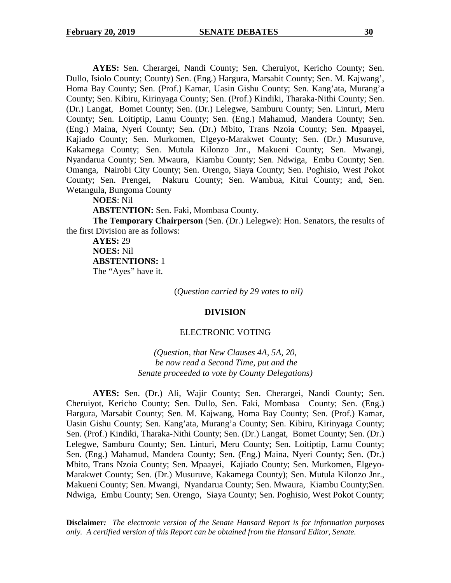**AYES:** Sen. Cherargei, Nandi County; Sen. Cheruiyot, Kericho County; Sen. Dullo, Isiolo County; County) Sen. (Eng.) Hargura, Marsabit County; Sen. M. Kajwang', Homa Bay County; Sen. (Prof.) Kamar, Uasin Gishu County; Sen. Kang'ata, Murang'a County; Sen. Kibiru, Kirinyaga County; Sen. (Prof.) Kindiki, Tharaka-Nithi County; Sen. (Dr.) Langat, Bomet County; Sen. (Dr.) Lelegwe, Samburu County; Sen. Linturi, Meru County; Sen. Loitiptip, Lamu County; Sen. (Eng.) Mahamud, Mandera County; Sen. (Eng.) Maina, Nyeri County; Sen. (Dr.) Mbito, Trans Nzoia County; Sen. Mpaayei, Kajiado County; Sen. Murkomen, Elgeyo-Marakwet County; Sen. (Dr.) Musuruve, Kakamega County; Sen. Mutula Kilonzo Jnr., Makueni County; Sen. Mwangi, Nyandarua County; Sen. Mwaura, Kiambu County; Sen. Ndwiga, Embu County; Sen. Omanga, Nairobi City County; Sen. Orengo, Siaya County; Sen. Poghisio, West Pokot County; Sen. Prengei, Nakuru County; Sen. Wambua, Kitui County; and, Sen. Wetangula, Bungoma County

**NOES**: Nil

**ABSTENTION:** Sen. Faki, Mombasa County.

**The Temporary Chairperson** (Sen. (Dr.) Lelegwe): Hon. Senators, the results of the first Division are as follows:

**AYES:** 29 **NOES:** Nil **ABSTENTIONS:** 1 The "Ayes" have it.

(*Question carried by 29 votes to nil)* 

## **DIVISION**

#### ELECTRONIC VOTING

*(Question, that New Clauses 4A, 5A, 20, be now read a Second Time, put and the Senate proceeded to vote by County Delegations)* 

**AYES:** Sen. (Dr.) Ali, Wajir County; Sen. Cherargei, Nandi County; Sen. Cheruiyot, Kericho County; Sen. Dullo, Sen. Faki, Mombasa County; Sen. (Eng.) Hargura, Marsabit County; Sen. M. Kajwang, Homa Bay County; Sen. (Prof.) Kamar, Uasin Gishu County; Sen. Kang'ata, Murang'a County; Sen. Kibiru, Kirinyaga County; Sen. (Prof.) Kindiki, Tharaka-Nithi County; Sen. (Dr.) Langat, Bomet County; Sen. (Dr.) Lelegwe, Samburu County; Sen. Linturi, Meru County; Sen. Loitiptip, Lamu County; Sen. (Eng.) Mahamud, Mandera County; Sen. (Eng.) Maina, Nyeri County; Sen. (Dr.) Mbito, Trans Nzoia County; Sen. Mpaayei, Kajiado County; Sen. Murkomen, Elgeyo-Marakwet County; Sen. (Dr.) Musuruve, Kakamega County); Sen. Mutula Kilonzo Jnr., Makueni County; Sen. Mwangi, Nyandarua County; Sen. Mwaura, Kiambu County;Sen. Ndwiga, Embu County; Sen. Orengo, Siaya County; Sen. Poghisio, West Pokot County;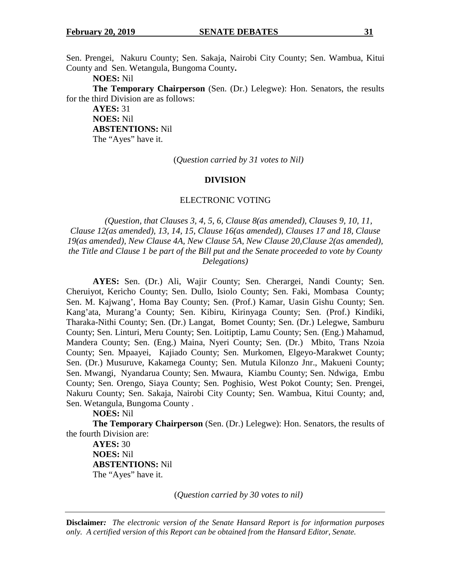Sen. Prengei, Nakuru County; Sen. Sakaja, Nairobi City County; Sen. Wambua, Kitui County and Sen. Wetangula, Bungoma County**.** 

**NOES:** Nil

**The Temporary Chairperson** (Sen. (Dr.) Lelegwe): Hon. Senators, the results for the third Division are as follows:

**AYES:** 31 **NOES:** Nil **ABSTENTIONS:** Nil The "Ayes" have it.

(*Question carried by 31 votes to Nil)* 

## **DIVISION**

## ELECTRONIC VOTING

*(Question, that Clauses 3, 4, 5, 6, Clause 8(as amended), Clauses 9, 10, 11, Clause 12(as amended), 13, 14, 15, Clause 16(as amended), Clauses 17 and 18, Clause 19(as amended), New Clause 4A, New Clause 5A, New Clause 20,Clause 2(as amended), the Title and Clause 1 be part of the Bill put and the Senate proceeded to vote by County Delegations)* 

**AYES:** Sen. (Dr.) Ali, Wajir County; Sen. Cherargei, Nandi County; Sen. Cheruiyot, Kericho County; Sen. Dullo, Isiolo County; Sen. Faki, Mombasa County; Sen. M. Kajwang', Homa Bay County; Sen. (Prof.) Kamar, Uasin Gishu County; Sen. Kang'ata, Murang'a County; Sen. Kibiru, Kirinyaga County; Sen. (Prof.) Kindiki, Tharaka-Nithi County; Sen. (Dr.) Langat, Bomet County; Sen. (Dr.) Lelegwe, Samburu County; Sen. Linturi, Meru County; Sen. Loitiptip, Lamu County; Sen. (Eng.) Mahamud, Mandera County; Sen. (Eng.) Maina, Nyeri County; Sen. (Dr.) Mbito, Trans Nzoia County; Sen. Mpaayei, Kajiado County; Sen. Murkomen, Elgeyo-Marakwet County; Sen. (Dr.) Musuruve, Kakamega County; Sen. Mutula Kilonzo Jnr., Makueni County; Sen. Mwangi, Nyandarua County; Sen. Mwaura, Kiambu County; Sen. Ndwiga, Embu County; Sen. Orengo, Siaya County; Sen. Poghisio, West Pokot County; Sen. Prengei, Nakuru County; Sen. Sakaja, Nairobi City County; Sen. Wambua, Kitui County; and, Sen. Wetangula, Bungoma County .

**NOES:** Nil

**The Temporary Chairperson** (Sen. (Dr.) Lelegwe): Hon. Senators, the results of the fourth Division are:

**AYES:** 30 **NOES:** Nil **ABSTENTIONS:** Nil The "Ayes" have it.

(*Question carried by 30 votes to nil)*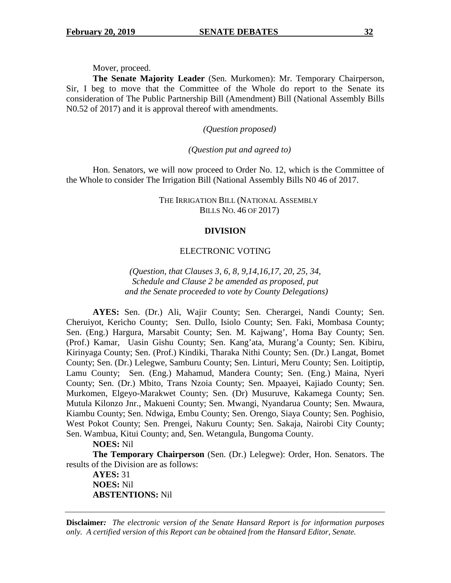Mover, proceed.

**The Senate Majority Leader** (Sen. Murkomen): Mr. Temporary Chairperson, Sir, I beg to move that the Committee of the Whole do report to the Senate its consideration of The Public Partnership Bill (Amendment) Bill (National Assembly Bills N0.52 of 2017) and it is approval thereof with amendments.

*(Question proposed)* 

*(Question put and agreed to)* 

Hon. Senators, we will now proceed to Order No. 12, which is the Committee of the Whole to consider The Irrigation Bill (National Assembly Bills N0 46 of 2017.

> THE IRRIGATION BILL (NATIONAL ASSEMBLY BILLS NO. 46 OF 2017)

#### **DIVISION**

#### ELECTRONIC VOTING

*(Question, that Clauses 3, 6, 8, 9,14,16,17, 20, 25, 34, Schedule and Clause 2 be amended as proposed, put and the Senate proceeded to vote by County Delegations)* 

**AYES:** Sen. (Dr.) Ali, Wajir County; Sen. Cherargei, Nandi County; Sen. Cheruiyot, Kericho County; Sen. Dullo, Isiolo County; Sen. Faki, Mombasa County; Sen. (Eng.) Hargura, Marsabit County; Sen. M. Kajwang', Homa Bay County; Sen. (Prof.) Kamar, Uasin Gishu County; Sen. Kang'ata, Murang'a County; Sen. Kibiru, Kirinyaga County; Sen. (Prof.) Kindiki, Tharaka Nithi County; Sen. (Dr.) Langat, Bomet County; Sen. (Dr.) Lelegwe, Samburu County; Sen. Linturi, Meru County; Sen. Loitiptip, Lamu County; Sen. (Eng.) Mahamud, Mandera County; Sen. (Eng.) Maina, Nyeri County; Sen. (Dr.) Mbito, Trans Nzoia County; Sen. Mpaayei, Kajiado County; Sen. Murkomen, Elgeyo-Marakwet County; Sen. (Dr) Musuruve, Kakamega County; Sen. Mutula Kilonzo Jnr., Makueni County; Sen. Mwangi, Nyandarua County; Sen. Mwaura, Kiambu County; Sen. Ndwiga, Embu County; Sen. Orengo, Siaya County; Sen. Poghisio, West Pokot County; Sen. Prengei, Nakuru County; Sen. Sakaja, Nairobi City County; Sen. Wambua, Kitui County; and, Sen. Wetangula, Bungoma County.

**NOES:** Nil

**The Temporary Chairperson** (Sen. (Dr.) Lelegwe): Order, Hon. Senators. The results of the Division are as follows:

**AYES:** 31 **NOES:** Nil **ABSTENTIONS:** Nil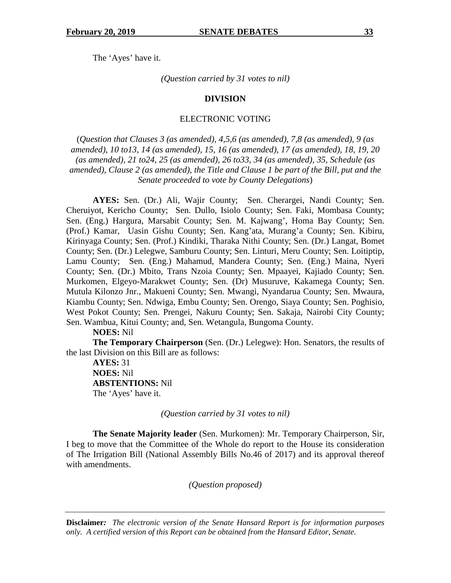The 'Ayes' have it.

*(Question carried by 31 votes to nil)* 

## **DIVISION**

#### ELECTRONIC VOTING

(*Question that Clauses 3 (as amended), 4,5,6 (as amended), 7,8 (as amended), 9 (as amended), 10 to13, 14 (as amended), 15, 16 (as amended), 17 (as amended), 18, 19, 20 (as amended), 21 to24, 25 (as amended), 26 to33, 34 (as amended), 35, Schedule (as amended), Clause 2 (as amended), the Title and Clause 1 be part of the Bill, put and the Senate proceeded to vote by County Delegations*)

**AYES:** Sen. (Dr.) Ali, Wajir County; Sen. Cherargei, Nandi County; Sen. Cheruiyot, Kericho County; Sen. Dullo, Isiolo County; Sen. Faki, Mombasa County; Sen. (Eng.) Hargura, Marsabit County; Sen. M. Kajwang', Homa Bay County; Sen. (Prof.) Kamar, Uasin Gishu County; Sen. Kang'ata, Murang'a County; Sen. Kibiru, Kirinyaga County; Sen. (Prof.) Kindiki, Tharaka Nithi County; Sen. (Dr.) Langat, Bomet County; Sen. (Dr.) Lelegwe, Samburu County; Sen. Linturi, Meru County; Sen. Loitiptip, Lamu County; Sen. (Eng.) Mahamud, Mandera County; Sen. (Eng.) Maina, Nyeri County; Sen. (Dr.) Mbito, Trans Nzoia County; Sen. Mpaayei, Kajiado County; Sen. Murkomen, Elgeyo-Marakwet County; Sen. (Dr) Musuruve, Kakamega County; Sen. Mutula Kilonzo Jnr., Makueni County; Sen. Mwangi, Nyandarua County; Sen. Mwaura, Kiambu County; Sen. Ndwiga, Embu County; Sen. Orengo, Siaya County; Sen. Poghisio, West Pokot County; Sen. Prengei, Nakuru County; Sen. Sakaja, Nairobi City County; Sen. Wambua, Kitui County; and, Sen. Wetangula, Bungoma County.

**NOES:** Nil

**The Temporary Chairperson** (Sen. (Dr.) Lelegwe): Hon. Senators, the results of the last Division on this Bill are as follows:

**AYES:** 31 **NOES:** Nil **ABSTENTIONS:** Nil The 'Ayes' have it.

*(Question carried by 31 votes to nil)* 

**The Senate Majority leader** (Sen. Murkomen): Mr. Temporary Chairperson, Sir, I beg to move that the Committee of the Whole do report to the House its consideration of The Irrigation Bill (National Assembly Bills No.46 of 2017) and its approval thereof with amendments.

*(Question proposed)*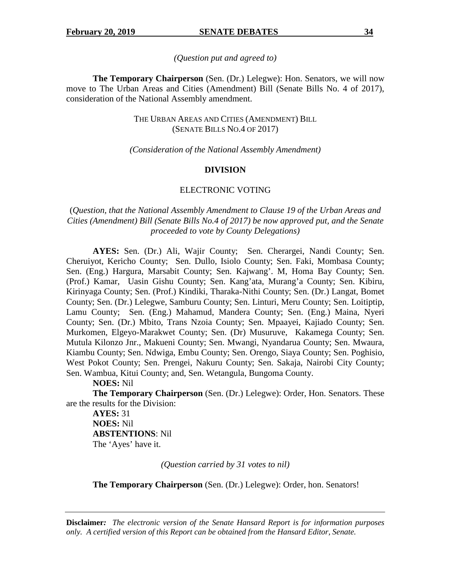#### *(Question put and agreed to)*

 **The Temporary Chairperson** (Sen. (Dr.) Lelegwe): Hon. Senators, we will now move to The Urban Areas and Cities (Amendment) Bill (Senate Bills No. 4 of 2017), consideration of the National Assembly amendment.

## THE URBAN AREAS AND CITIES (AMENDMENT) BILL (SENATE BILLS NO.4 OF 2017)

## *(Consideration of the National Assembly Amendment)*

#### **DIVISION**

# ELECTRONIC VOTING

# (*Question, that the National Assembly Amendment to Clause 19 of the Urban Areas and Cities (Amendment) Bill (Senate Bills No.4 of 2017) be now approved put, and the Senate proceeded to vote by County Delegations)*

**AYES:** Sen. (Dr.) Ali, Wajir County; Sen. Cherargei, Nandi County; Sen. Cheruiyot, Kericho County; Sen. Dullo, Isiolo County; Sen. Faki, Mombasa County; Sen. (Eng.) Hargura, Marsabit County; Sen. Kajwang'. M, Homa Bay County; Sen. (Prof.) Kamar, Uasin Gishu County; Sen. Kang'ata, Murang'a County; Sen. Kibiru, Kirinyaga County; Sen. (Prof.) Kindiki, Tharaka-Nithi County; Sen. (Dr.) Langat, Bomet County; Sen. (Dr.) Lelegwe, Samburu County; Sen. Linturi, Meru County; Sen. Loitiptip, Lamu County; Sen. (Eng.) Mahamud, Mandera County; Sen. (Eng.) Maina, Nyeri County; Sen. (Dr.) Mbito, Trans Nzoia County; Sen. Mpaayei, Kajiado County; Sen. Murkomen, Elgeyo-Marakwet County; Sen. (Dr) Musuruve, Kakamega County; Sen. Mutula Kilonzo Jnr., Makueni County; Sen. Mwangi, Nyandarua County; Sen. Mwaura, Kiambu County; Sen. Ndwiga, Embu County; Sen. Orengo, Siaya County; Sen. Poghisio, West Pokot County; Sen. Prengei, Nakuru County; Sen. Sakaja, Nairobi City County; Sen. Wambua, Kitui County; and, Sen. Wetangula, Bungoma County.

**NOES:** Nil

**The Temporary Chairperson** (Sen. (Dr.) Lelegwe): Order, Hon. Senators. These are the results for the Division:

**AYES:** 31 **NOES:** Nil **ABSTENTIONS**: Nil The 'Ayes' have it.

*(Question carried by 31 votes to nil)* 

**The Temporary Chairperson** (Sen. (Dr.) Lelegwe): Order, hon. Senators!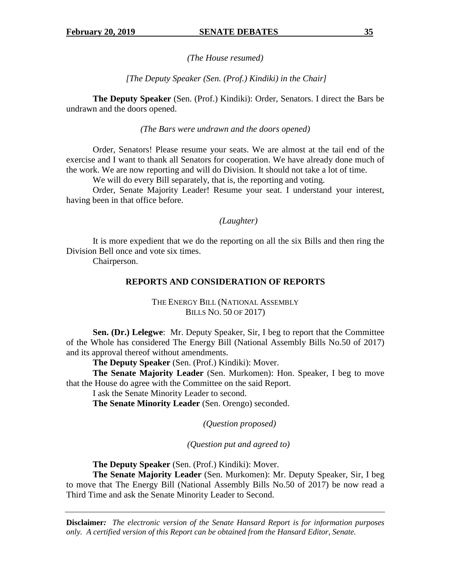*(The House resumed)* 

 *[The Deputy Speaker (Sen. (Prof.) Kindiki) in the Chair]* 

**The Deputy Speaker** (Sen. (Prof.) Kindiki): Order, Senators. I direct the Bars be undrawn and the doors opened.

## *(The Bars were undrawn and the doors opened)*

Order, Senators! Please resume your seats. We are almost at the tail end of the exercise and I want to thank all Senators for cooperation. We have already done much of the work. We are now reporting and will do Division. It should not take a lot of time.

We will do every Bill separately, that is, the reporting and voting.

Order, Senate Majority Leader! Resume your seat. I understand your interest, having been in that office before.

## *(Laughter)*

It is more expedient that we do the reporting on all the six Bills and then ring the Division Bell once and vote six times.

Chairperson.

# **REPORTS AND CONSIDERATION OF REPORTS**

# THE ENERGY BILL (NATIONAL ASSEMBLY BILLS NO. 50 OF 2017)

**Sen. (Dr.) Lelegwe**: Mr. Deputy Speaker, Sir, I beg to report that the Committee of the Whole has considered The Energy Bill (National Assembly Bills No.50 of 2017) and its approval thereof without amendments.

**The Deputy Speaker** (Sen. (Prof.) Kindiki): Mover.

**The Senate Majority Leader** (Sen. Murkomen): Hon. Speaker, I beg to move that the House do agree with the Committee on the said Report.

I ask the Senate Minority Leader to second.

**The Senate Minority Leader** (Sen. Orengo) seconded.

 *(Question proposed)* 

*(Question put and agreed to)* 

**The Deputy Speaker** (Sen. (Prof.) Kindiki): Mover.

**The Senate Majority Leader** (Sen. Murkomen): Mr. Deputy Speaker, Sir, I beg to move that The Energy Bill (National Assembly Bills No.50 of 2017) be now read a Third Time and ask the Senate Minority Leader to Second.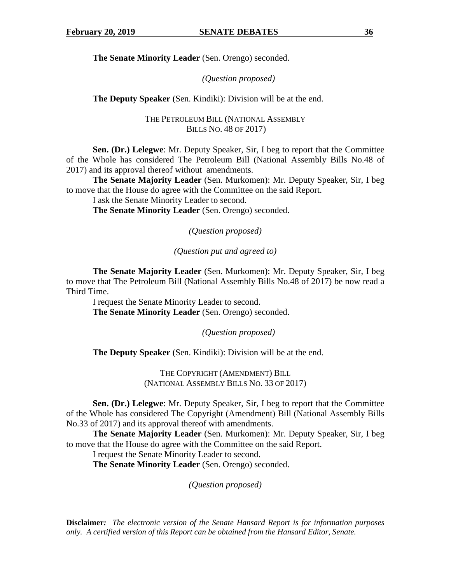**The Senate Minority Leader** (Sen. Orengo) seconded.

# *(Question proposed)*

**The Deputy Speaker** (Sen. Kindiki): Division will be at the end.

THE PETROLEUM BILL (NATIONAL ASSEMBLY BILLS NO. 48 OF 2017)

**Sen. (Dr.) Lelegwe**: Mr. Deputy Speaker, Sir, I beg to report that the Committee of the Whole has considered The Petroleum Bill (National Assembly Bills No.48 of 2017) and its approval thereof without amendments.

**The Senate Majority Leader** (Sen. Murkomen): Mr. Deputy Speaker, Sir, I beg to move that the House do agree with the Committee on the said Report.

I ask the Senate Minority Leader to second.

**The Senate Minority Leader** (Sen. Orengo) seconded.

*(Question proposed)* 

*(Question put and agreed to)* 

**The Senate Majority Leader** (Sen. Murkomen): Mr. Deputy Speaker, Sir, I beg to move that The Petroleum Bill (National Assembly Bills No.48 of 2017) be now read a Third Time.

I request the Senate Minority Leader to second. **The Senate Minority Leader** (Sen. Orengo) seconded.

*(Question proposed)* 

**The Deputy Speaker** (Sen. Kindiki): Division will be at the end.

THE COPYRIGHT (AMENDMENT) BILL (NATIONAL ASSEMBLY BILLS NO. 33 OF 2017)

**Sen. (Dr.) Lelegwe**: Mr. Deputy Speaker, Sir, I beg to report that the Committee of the Whole has considered The Copyright (Amendment) Bill (National Assembly Bills No.33 of 2017) and its approval thereof with amendments.

**The Senate Majority Leader** (Sen. Murkomen): Mr. Deputy Speaker, Sir, I beg to move that the House do agree with the Committee on the said Report.

I request the Senate Minority Leader to second.

**The Senate Minority Leader** (Sen. Orengo) seconded.

*(Question proposed)*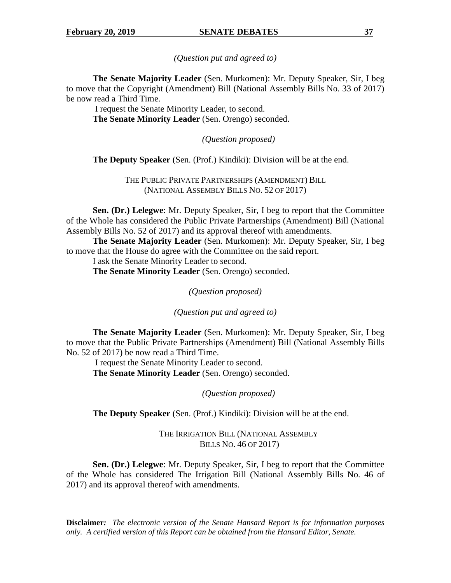*(Question put and agreed to)* 

**The Senate Majority Leader** (Sen. Murkomen): Mr. Deputy Speaker, Sir, I beg to move that the Copyright (Amendment) Bill (National Assembly Bills No. 33 of 2017) be now read a Third Time.

 I request the Senate Minority Leader, to second. **The Senate Minority Leader** (Sen. Orengo) seconded.

*(Question proposed)* 

**The Deputy Speaker** (Sen. (Prof.) Kindiki): Division will be at the end.

THE PUBLIC PRIVATE PARTNERSHIPS (AMENDMENT) BILL (NATIONAL ASSEMBLY BILLS NO. 52 OF 2017)

**Sen. (Dr.) Lelegwe**: Mr. Deputy Speaker, Sir, I beg to report that the Committee of the Whole has considered the Public Private Partnerships (Amendment) Bill (National Assembly Bills No. 52 of 2017) and its approval thereof with amendments.

**The Senate Majority Leader** (Sen. Murkomen): Mr. Deputy Speaker, Sir, I beg to move that the House do agree with the Committee on the said report.

I ask the Senate Minority Leader to second.

**The Senate Minority Leader** (Sen. Orengo) seconded.

*(Question proposed)* 

*(Question put and agreed to)* 

**The Senate Majority Leader** (Sen. Murkomen): Mr. Deputy Speaker, Sir, I beg to move that the Public Private Partnerships (Amendment) Bill (National Assembly Bills No. 52 of 2017) be now read a Third Time.

 I request the Senate Minority Leader to second. **The Senate Minority Leader** (Sen. Orengo) seconded.

*(Question proposed)* 

**The Deputy Speaker** (Sen. (Prof.) Kindiki): Division will be at the end.

THE IRRIGATION BILL (NATIONAL ASSEMBLY BILLS NO. 46 OF 2017)

**Sen. (Dr.) Lelegwe**: Mr. Deputy Speaker, Sir, I beg to report that the Committee of the Whole has considered The Irrigation Bill (National Assembly Bills No. 46 of 2017) and its approval thereof with amendments.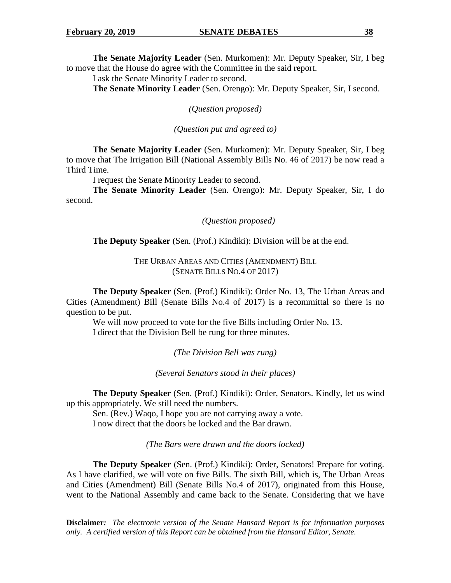**The Senate Majority Leader** (Sen. Murkomen): Mr. Deputy Speaker, Sir, I beg to move that the House do agree with the Committee in the said report.

I ask the Senate Minority Leader to second.

**The Senate Minority Leader** (Sen. Orengo): Mr. Deputy Speaker, Sir, I second.

*(Question proposed)* 

*(Question put and agreed to)* 

**The Senate Majority Leader** (Sen. Murkomen): Mr. Deputy Speaker, Sir, I beg to move that The Irrigation Bill (National Assembly Bills No. 46 of 2017) be now read a Third Time.

I request the Senate Minority Leader to second.

**The Senate Minority Leader** (Sen. Orengo): Mr. Deputy Speaker, Sir, I do second.

*(Question proposed)* 

**The Deputy Speaker** (Sen. (Prof.) Kindiki): Division will be at the end.

THE URBAN AREAS AND CITIES (AMENDMENT) BILL (SENATE BILLS NO.4 OF 2017)

**The Deputy Speaker** (Sen. (Prof.) Kindiki): Order No. 13, The Urban Areas and Cities (Amendment) Bill (Senate Bills No.4 of 2017) is a recommittal so there is no question to be put.

We will now proceed to vote for the five Bills including Order No. 13. I direct that the Division Bell be rung for three minutes.

*(The Division Bell was rung)* 

*(Several Senators stood in their places)* 

**The Deputy Speaker** (Sen. (Prof.) Kindiki): Order, Senators. Kindly, let us wind up this appropriately. We still need the numbers.

Sen. (Rev.) Waqo, I hope you are not carrying away a vote. I now direct that the doors be locked and the Bar drawn.

*(The Bars were drawn and the doors locked)* 

**The Deputy Speaker** (Sen. (Prof.) Kindiki): Order, Senators! Prepare for voting. As I have clarified, we will vote on five Bills. The sixth Bill, which is, The Urban Areas and Cities (Amendment) Bill (Senate Bills No.4 of 2017), originated from this House, went to the National Assembly and came back to the Senate. Considering that we have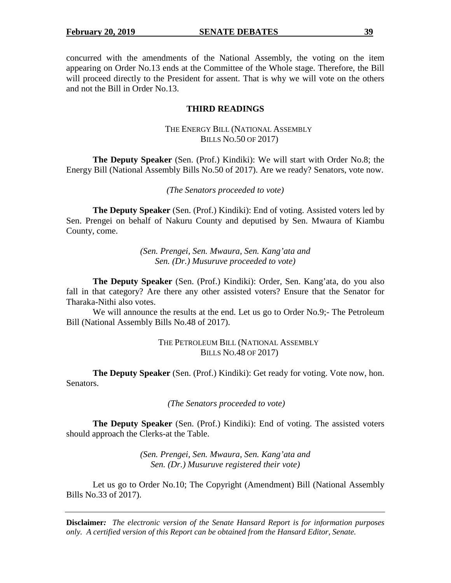concurred with the amendments of the National Assembly, the voting on the item appearing on Order No.13 ends at the Committee of the Whole stage. Therefore, the Bill will proceed directly to the President for assent. That is why we will vote on the others and not the Bill in Order No.13.

# **THIRD READINGS**

# THE ENERGY BILL (NATIONAL ASSEMBLY BILLS NO.50 OF 2017)

**The Deputy Speaker** (Sen. (Prof.) Kindiki): We will start with Order No.8; the Energy Bill (National Assembly Bills No.50 of 2017). Are we ready? Senators, vote now.

*(The Senators proceeded to vote)* 

**The Deputy Speaker** (Sen. (Prof.) Kindiki): End of voting. Assisted voters led by Sen. Prengei on behalf of Nakuru County and deputised by Sen. Mwaura of Kiambu County, come.

> *(Sen. Prengei, Sen. Mwaura, Sen. Kang'ata and Sen. (Dr.) Musuruve proceeded to vote)*

**The Deputy Speaker** (Sen. (Prof.) Kindiki): Order, Sen. Kang'ata, do you also fall in that category? Are there any other assisted voters? Ensure that the Senator for Tharaka-Nithi also votes.

We will announce the results at the end. Let us go to Order No.9;- The Petroleum Bill (National Assembly Bills No.48 of 2017).

# THE PETROLEUM BILL (NATIONAL ASSEMBLY BILLS NO.48 OF 2017)

**The Deputy Speaker** (Sen. (Prof.) Kindiki): Get ready for voting. Vote now, hon. Senators.

 *(The Senators proceeded to vote)* 

**The Deputy Speaker** (Sen. (Prof.) Kindiki): End of voting. The assisted voters should approach the Clerks-at the Table.

> *(Sen. Prengei, Sen. Mwaura, Sen. Kang'ata and Sen. (Dr.) Musuruve registered their vote)*

Let us go to Order No.10; The Copyright (Amendment) Bill (National Assembly Bills No.33 of 2017).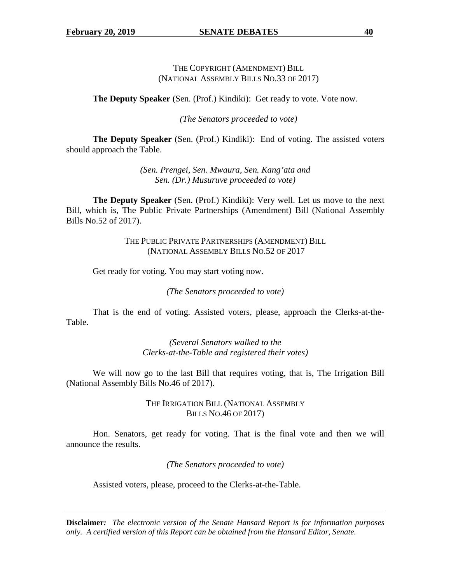THE COPYRIGHT (AMENDMENT) BILL (NATIONAL ASSEMBLY BILLS NO.33 OF 2017)

**The Deputy Speaker** (Sen. (Prof.) Kindiki): Get ready to vote. Vote now.

*(The Senators proceeded to vote)* 

**The Deputy Speaker** (Sen. (Prof.) Kindiki): End of voting. The assisted voters should approach the Table.

> *(Sen. Prengei, Sen. Mwaura, Sen. Kang'ata and Sen. (Dr.) Musuruve proceeded to vote)*

 **The Deputy Speaker** (Sen. (Prof.) Kindiki): Very well. Let us move to the next Bill, which is, The Public Private Partnerships (Amendment) Bill (National Assembly Bills No.52 of 2017).

> THE PUBLIC PRIVATE PARTNERSHIPS (AMENDMENT) BILL (NATIONAL ASSEMBLY BILLS NO.52 OF 2017

Get ready for voting. You may start voting now.

*(The Senators proceeded to vote)* 

That is the end of voting. Assisted voters, please, approach the Clerks-at-the-Table.

> *(Several Senators walked to the Clerks-at-the-Table and registered their votes)*

 We will now go to the last Bill that requires voting, that is, The Irrigation Bill (National Assembly Bills No.46 of 2017).

> THE IRRIGATION BILL (NATIONAL ASSEMBLY BILLS NO.46 OF 2017)

 Hon. Senators, get ready for voting. That is the final vote and then we will announce the results.

*(The Senators proceeded to vote)* 

Assisted voters, please, proceed to the Clerks-at-the-Table.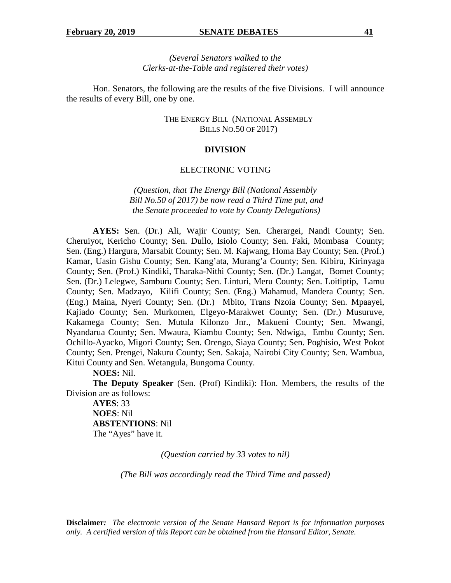*(Several Senators walked to the Clerks-at-the-Table and registered their votes)* 

Hon. Senators, the following are the results of the five Divisions. I will announce the results of every Bill, one by one.

> THE ENERGY BILL (NATIONAL ASSEMBLY BILLS NO.50 OF 2017)

## **DIVISION**

## ELECTRONIC VOTING

*(Question, that The Energy Bill (National Assembly Bill No.50 of 2017) be now read a Third Time put, and the Senate proceeded to vote by County Delegations)* 

**AYES:** Sen. (Dr.) Ali, Wajir County; Sen. Cherargei, Nandi County; Sen. Cheruiyot, Kericho County; Sen. Dullo, Isiolo County; Sen. Faki, Mombasa County; Sen. (Eng.) Hargura, Marsabit County; Sen. M. Kajwang, Homa Bay County; Sen. (Prof.) Kamar, Uasin Gishu County; Sen. Kang'ata, Murang'a County; Sen. Kibiru, Kirinyaga County; Sen. (Prof.) Kindiki, Tharaka-Nithi County; Sen. (Dr.) Langat, Bomet County; Sen. (Dr.) Lelegwe, Samburu County; Sen. Linturi, Meru County; Sen. Loitiptip, Lamu County; Sen. Madzayo, Kilifi County; Sen. (Eng.) Mahamud, Mandera County; Sen. (Eng.) Maina, Nyeri County; Sen. (Dr.) Mbito, Trans Nzoia County; Sen. Mpaayei, Kajiado County; Sen. Murkomen, Elgeyo-Marakwet County; Sen. (Dr.) Musuruve, Kakamega County; Sen. Mutula Kilonzo Jnr., Makueni County; Sen. Mwangi, Nyandarua County; Sen. Mwaura, Kiambu County; Sen. Ndwiga, Embu County; Sen. Ochillo-Ayacko, Migori County; Sen. Orengo, Siaya County; Sen. Poghisio, West Pokot County; Sen. Prengei, Nakuru County; Sen. Sakaja, Nairobi City County; Sen. Wambua, Kitui County and Sen. Wetangula, Bungoma County.

**NOES:** Nil.

**The Deputy Speaker** (Sen. (Prof) Kindiki): Hon. Members, the results of the Division are as follows:

 **AYES**: 33 **NOES**: Nil **ABSTENTIONS**: Nil The "Ayes" have it.

*(Question carried by 33 votes to nil)* 

*(The Bill was accordingly read the Third Time and passed)*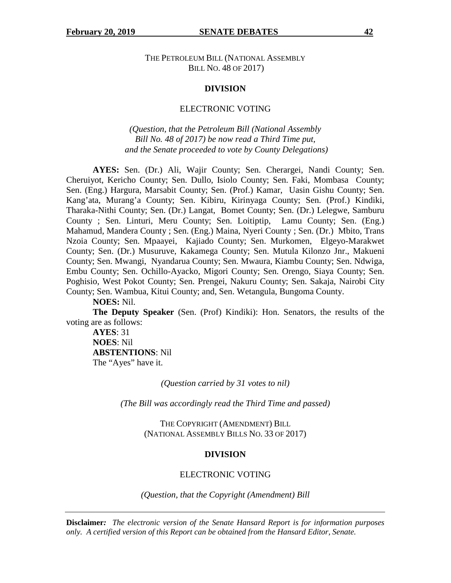THE PETROLEUM BILL (NATIONAL ASSEMBLY BILL NO. 48 OF 2017)

#### **DIVISION**

#### ELECTRONIC VOTING

*(Question, that the Petroleum Bill (National Assembly Bill No. 48 of 2017) be now read a Third Time put, and the Senate proceeded to vote by County Delegations)* 

**AYES:** Sen. (Dr.) Ali, Wajir County; Sen. Cherargei, Nandi County; Sen. Cheruiyot, Kericho County; Sen. Dullo, Isiolo County; Sen. Faki, Mombasa County; Sen. (Eng.) Hargura, Marsabit County; Sen. (Prof.) Kamar, Uasin Gishu County; Sen. Kang'ata, Murang'a County; Sen. Kibiru, Kirinyaga County; Sen. (Prof.) Kindiki, Tharaka-Nithi County; Sen. (Dr.) Langat, Bomet County; Sen. (Dr.) Lelegwe, Samburu County ; Sen. Linturi, Meru County; Sen. Loitiptip, Lamu County; Sen. (Eng.) Mahamud, Mandera County ; Sen. (Eng.) Maina, Nyeri County ; Sen. (Dr.) Mbito, Trans Nzoia County; Sen. Mpaayei, Kajiado County; Sen. Murkomen, Elgeyo-Marakwet County; Sen. (Dr.) Musuruve, Kakamega County; Sen. Mutula Kilonzo Jnr., Makueni County; Sen. Mwangi, Nyandarua County; Sen. Mwaura, Kiambu County; Sen. Ndwiga, Embu County; Sen. Ochillo-Ayacko, Migori County; Sen. Orengo, Siaya County; Sen. Poghisio, West Pokot County; Sen. Prengei, Nakuru County; Sen. Sakaja, Nairobi City County; Sen. Wambua, Kitui County; and, Sen. Wetangula, Bungoma County.

**NOES:** Nil.

**The Deputy Speaker** (Sen. (Prof) Kindiki): Hon. Senators, the results of the voting are as follows:

**AYES**: 31 **NOES**: Nil **ABSTENTIONS**: Nil The "Ayes" have it.

*(Question carried by 31 votes to nil)* 

*(The Bill was accordingly read the Third Time and passed)* 

THE COPYRIGHT (AMENDMENT) BILL (NATIONAL ASSEMBLY BILLS NO. 33 OF 2017)

#### **DIVISION**

#### ELECTRONIC VOTING

*(Question, that the Copyright (Amendment) Bill*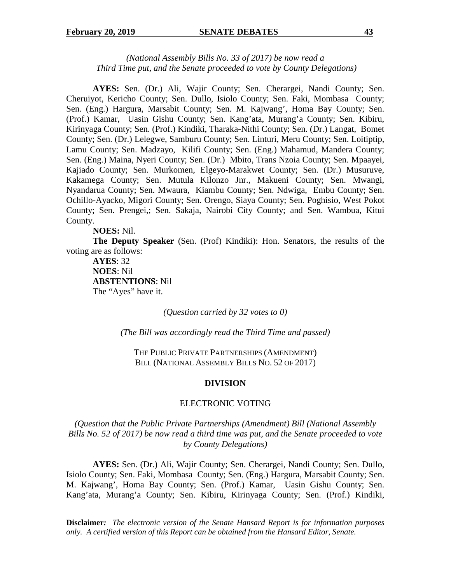# *(National Assembly Bills No. 33 of 2017) be now read a Third Time put, and the Senate proceeded to vote by County Delegations)*

**AYES:** Sen. (Dr.) Ali, Wajir County; Sen. Cherargei, Nandi County; Sen. Cheruiyot, Kericho County; Sen. Dullo, Isiolo County; Sen. Faki, Mombasa County; Sen. (Eng.) Hargura, Marsabit County; Sen. M. Kajwang', Homa Bay County; Sen. (Prof.) Kamar, Uasin Gishu County; Sen. Kang'ata, Murang'a County; Sen. Kibiru, Kirinyaga County; Sen. (Prof.) Kindiki, Tharaka-Nithi County; Sen. (Dr.) Langat, Bomet County; Sen. (Dr.) Lelegwe, Samburu County; Sen. Linturi, Meru County; Sen. Loitiptip, Lamu County; Sen. Madzayo, Kilifi County; Sen. (Eng.) Mahamud, Mandera County; Sen. (Eng.) Maina, Nyeri County; Sen. (Dr.) Mbito, Trans Nzoia County; Sen. Mpaayei, Kajiado County; Sen. Murkomen, Elgeyo-Marakwet County; Sen. (Dr.) Musuruve, Kakamega County; Sen. Mutula Kilonzo Jnr., Makueni County; Sen. Mwangi, Nyandarua County; Sen. Mwaura, Kiambu County; Sen. Ndwiga, Embu County; Sen. Ochillo-Ayacko, Migori County; Sen. Orengo, Siaya County; Sen. Poghisio, West Pokot County; Sen. Prengei,; Sen. Sakaja, Nairobi City County; and Sen. Wambua, Kitui County.

**NOES:** Nil.

**The Deputy Speaker** (Sen. (Prof) Kindiki): Hon. Senators, the results of the voting are as follows:

 **AYES**: 32 **NOES**: Nil **ABSTENTIONS**: Nil The "Ayes" have it.

*(Question carried by 32 votes to 0)* 

*(The Bill was accordingly read the Third Time and passed)* 

THE PUBLIC PRIVATE PARTNERSHIPS (AMENDMENT) BILL (NATIONAL ASSEMBLY BILLS NO. 52 OF 2017)

## **DIVISION**

#### ELECTRONIC VOTING

*(Question that the Public Private Partnerships (Amendment) Bill (National Assembly Bills No. 52 of 2017) be now read a third time was put, and the Senate proceeded to vote by County Delegations)* 

**AYES:** Sen. (Dr.) Ali, Wajir County; Sen. Cherargei, Nandi County; Sen. Dullo, Isiolo County; Sen. Faki, Mombasa County; Sen. (Eng.) Hargura, Marsabit County; Sen. M. Kajwang', Homa Bay County; Sen. (Prof.) Kamar, Uasin Gishu County; Sen. Kang'ata, Murang'a County; Sen. Kibiru, Kirinyaga County; Sen. (Prof.) Kindiki,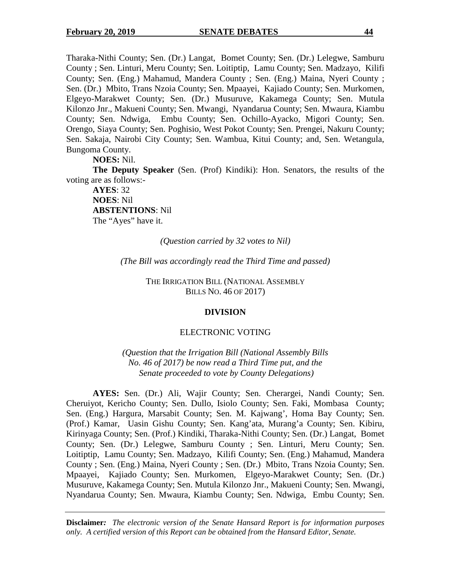Tharaka-Nithi County; Sen. (Dr.) Langat, Bomet County; Sen. (Dr.) Lelegwe, Samburu County ; Sen. Linturi, Meru County; Sen. Loitiptip, Lamu County; Sen. Madzayo, Kilifi County; Sen. (Eng.) Mahamud, Mandera County ; Sen. (Eng.) Maina, Nyeri County ; Sen. (Dr.) Mbito, Trans Nzoia County; Sen. Mpaayei, Kajiado County; Sen. Murkomen, Elgeyo-Marakwet County; Sen. (Dr.) Musuruve, Kakamega County; Sen. Mutula Kilonzo Jnr., Makueni County; Sen. Mwangi, Nyandarua County; Sen. Mwaura, Kiambu County; Sen. Ndwiga, Embu County; Sen. Ochillo-Ayacko, Migori County; Sen. Orengo, Siaya County; Sen. Poghisio, West Pokot County; Sen. Prengei, Nakuru County; Sen. Sakaja, Nairobi City County; Sen. Wambua, Kitui County; and, Sen. Wetangula, Bungoma County.

**NOES:** Nil.

**The Deputy Speaker** (Sen. (Prof) Kindiki): Hon. Senators, the results of the voting are as follows:-

**AYES**: 32 **NOES**: Nil **ABSTENTIONS**: Nil The "Ayes" have it.

#### *(Question carried by 32 votes to Nil)*

*(The Bill was accordingly read the Third Time and passed)* 

THE IRRIGATION BILL (NATIONAL ASSEMBLY BILLS NO. 46 OF 2017)

#### **DIVISION**

## ELECTRONIC VOTING

*(Question that the Irrigation Bill (National Assembly Bills No. 46 of 2017) be now read a Third Time put, and the Senate proceeded to vote by County Delegations)* 

**AYES:** Sen. (Dr.) Ali, Wajir County; Sen. Cherargei, Nandi County; Sen. Cheruiyot, Kericho County; Sen. Dullo, Isiolo County; Sen. Faki, Mombasa County; Sen. (Eng.) Hargura, Marsabit County; Sen. M. Kajwang', Homa Bay County; Sen. (Prof.) Kamar, Uasin Gishu County; Sen. Kang'ata, Murang'a County; Sen. Kibiru, Kirinyaga County; Sen. (Prof.) Kindiki, Tharaka-Nithi County; Sen. (Dr.) Langat, Bomet County; Sen. (Dr.) Lelegwe, Samburu County ; Sen. Linturi, Meru County; Sen. Loitiptip, Lamu County; Sen. Madzayo, Kilifi County; Sen. (Eng.) Mahamud, Mandera County ; Sen. (Eng.) Maina, Nyeri County ; Sen. (Dr.) Mbito, Trans Nzoia County; Sen. Mpaayei, Kajiado County; Sen. Murkomen, Elgeyo-Marakwet County; Sen. (Dr.) Musuruve, Kakamega County; Sen. Mutula Kilonzo Jnr., Makueni County; Sen. Mwangi, Nyandarua County; Sen. Mwaura, Kiambu County; Sen. Ndwiga, Embu County; Sen.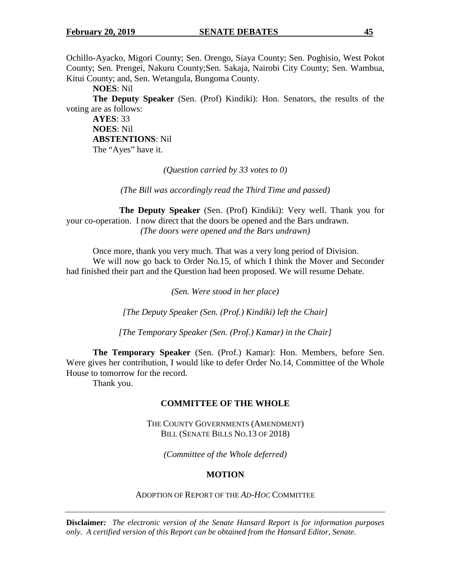Ochillo-Ayacko, Migori County; Sen. Orengo, Siaya County; Sen. Poghisio, West Pokot County; Sen. Prengei, Nakuru County;Sen. Sakaja, Nairobi City County; Sen. Wambua, Kitui County; and, Sen. Wetangula, Bungoma County.

**NOES**: Nil

**The Deputy Speaker** (Sen. (Prof) Kindiki): Hon. Senators, the results of the voting are as follows:

**AYES**: 33 **NOES**: Nil **ABSTENTIONS**: Nil The "Ayes" have it.

*(Question carried by 33 votes to 0)* 

*(The Bill was accordingly read the Third Time and passed)* 

**The Deputy Speaker** (Sen. (Prof) Kindiki): Very well. Thank you for your co-operation. I now direct that the doors be opened and the Bars undrawn. *(The doors were opened and the Bars undrawn)* 

Once more, thank you very much. That was a very long period of Division. We will now go back to Order No.15, of which I think the Mover and Seconder had finished their part and the Question had been proposed. We will resume Debate.

*(Sen. Were stood in her place)* 

*[The Deputy Speaker (Sen. (Prof.) Kindiki) left the Chair]* 

*[The Temporary Speaker (Sen. (Prof.) Kamar) in the Chair]* 

**The Temporary Speaker** (Sen. (Prof.) Kamar): Hon. Members, before Sen. Were gives her contribution, I would like to defer Order No.14, Committee of the Whole House to tomorrow for the record.

Thank you.

## **COMMITTEE OF THE WHOLE**

THE COUNTY GOVERNMENTS (AMENDMENT) BILL (SENATE BILLS NO.13 OF 2018)

*(Committee of the Whole deferred)* 

# **MOTION**

ADOPTION OF REPORT OF THE *AD-HOC* COMMITTEE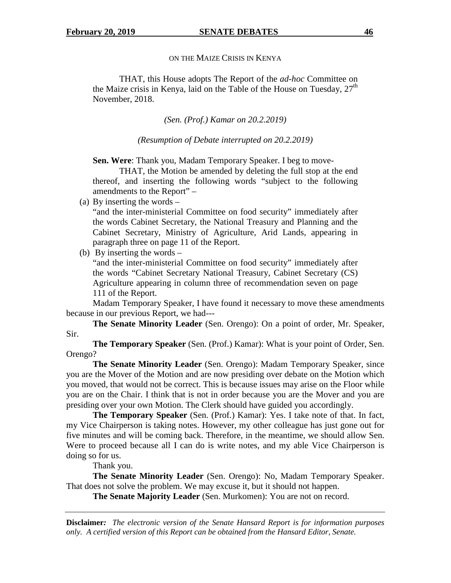# ON THE MAIZE CRISIS IN KENYA

THAT, this House adopts The Report of the *ad-hoc* Committee on the Maize crisis in Kenya, laid on the Table of the House on Tuesday,  $27<sup>th</sup>$ November, 2018.

*(Sen. (Prof.) Kamar on 20.2.2019)* 

*(Resumption of Debate interrupted on 20.2.2019)* 

**Sen. Were**: Thank you, Madam Temporary Speaker. I beg to move-

THAT, the Motion be amended by deleting the full stop at the end thereof, and inserting the following words "subject to the following amendments to the Report" –

(a) By inserting the words –

"and the inter-ministerial Committee on food security" immediately after the words Cabinet Secretary, the National Treasury and Planning and the Cabinet Secretary, Ministry of Agriculture, Arid Lands, appearing in paragraph three on page 11 of the Report.

(b) By inserting the words –

"and the inter-ministerial Committee on food security" immediately after the words "Cabinet Secretary National Treasury, Cabinet Secretary (CS) Agriculture appearing in column three of recommendation seven on page 111 of the Report.

Madam Temporary Speaker, I have found it necessary to move these amendments because in our previous Report, we had---

**The Senate Minority Leader** (Sen. Orengo): On a point of order, Mr. Speaker, Sir.

**The Temporary Speaker** (Sen. (Prof.) Kamar): What is your point of Order, Sen. Orengo?

**The Senate Minority Leader** (Sen. Orengo): Madam Temporary Speaker, since you are the Mover of the Motion and are now presiding over debate on the Motion which you moved, that would not be correct. This is because issues may arise on the Floor while you are on the Chair. I think that is not in order because you are the Mover and you are presiding over your own Motion. The Clerk should have guided you accordingly.

**The Temporary Speaker** (Sen. (Prof.) Kamar): Yes. I take note of that. In fact, my Vice Chairperson is taking notes. However, my other colleague has just gone out for five minutes and will be coming back. Therefore, in the meantime, we should allow Sen. Were to proceed because all I can do is write notes, and my able Vice Chairperson is doing so for us.

Thank you.

**The Senate Minority Leader** (Sen. Orengo): No, Madam Temporary Speaker. That does not solve the problem. We may excuse it, but it should not happen.

**The Senate Majority Leader** (Sen. Murkomen): You are not on record.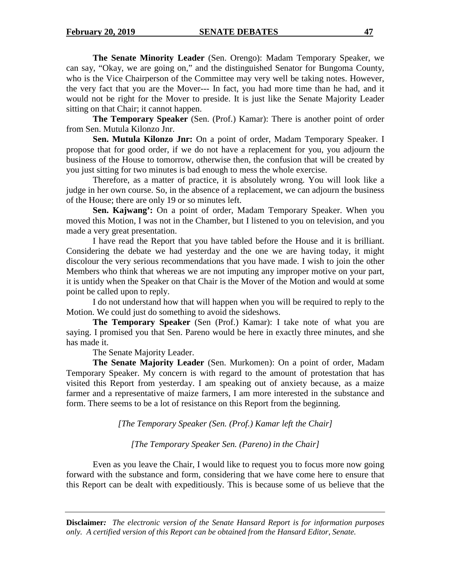**The Senate Minority Leader** (Sen. Orengo): Madam Temporary Speaker, we can say, "Okay, we are going on," and the distinguished Senator for Bungoma County, who is the Vice Chairperson of the Committee may very well be taking notes. However, the very fact that you are the Mover--- In fact, you had more time than he had, and it would not be right for the Mover to preside. It is just like the Senate Majority Leader sitting on that Chair; it cannot happen.

**The Temporary Speaker** (Sen. (Prof.) Kamar): There is another point of order from Sen. Mutula Kilonzo Jnr.

**Sen. Mutula Kilonzo Jnr:** On a point of order, Madam Temporary Speaker. I propose that for good order, if we do not have a replacement for you, you adjourn the business of the House to tomorrow, otherwise then, the confusion that will be created by you just sitting for two minutes is bad enough to mess the whole exercise.

Therefore, as a matter of practice, it is absolutely wrong. You will look like a judge in her own course. So, in the absence of a replacement, we can adjourn the business of the House; there are only 19 or so minutes left.

**Sen. Kajwang':** On a point of order, Madam Temporary Speaker. When you moved this Motion, I was not in the Chamber, but I listened to you on television, and you made a very great presentation.

I have read the Report that you have tabled before the House and it is brilliant. Considering the debate we had yesterday and the one we are having today, it might discolour the very serious recommendations that you have made. I wish to join the other Members who think that whereas we are not imputing any improper motive on your part, it is untidy when the Speaker on that Chair is the Mover of the Motion and would at some point be called upon to reply.

I do not understand how that will happen when you will be required to reply to the Motion. We could just do something to avoid the sideshows.

**The Temporary Speaker** (Sen (Prof.) Kamar): I take note of what you are saying. I promised you that Sen. Pareno would be here in exactly three minutes, and she has made it.

The Senate Majority Leader.

 **The Senate Majority Leader** (Sen. Murkomen): On a point of order, Madam Temporary Speaker. My concern is with regard to the amount of protestation that has visited this Report from yesterday. I am speaking out of anxiety because, as a maize farmer and a representative of maize farmers, I am more interested in the substance and form. There seems to be a lot of resistance on this Report from the beginning.

*[The Temporary Speaker (Sen. (Prof.) Kamar left the Chair]* 

*[The Temporary Speaker Sen. (Pareno) in the Chair]* 

Even as you leave the Chair, I would like to request you to focus more now going forward with the substance and form, considering that we have come here to ensure that this Report can be dealt with expeditiously. This is because some of us believe that the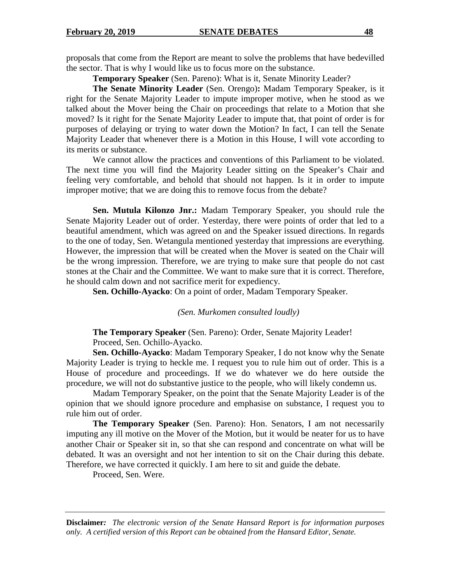proposals that come from the Report are meant to solve the problems that have bedevilled the sector. That is why I would like us to focus more on the substance.

**Temporary Speaker** (Sen. Pareno): What is it, Senate Minority Leader?

**The Senate Minority Leader** (Sen. Orengo)**:** Madam Temporary Speaker, is it right for the Senate Majority Leader to impute improper motive, when he stood as we talked about the Mover being the Chair on proceedings that relate to a Motion that she moved? Is it right for the Senate Majority Leader to impute that, that point of order is for purposes of delaying or trying to water down the Motion? In fact, I can tell the Senate Majority Leader that whenever there is a Motion in this House, I will vote according to its merits or substance.

 We cannot allow the practices and conventions of this Parliament to be violated. The next time you will find the Majority Leader sitting on the Speaker's Chair and feeling very comfortable, and behold that should not happen. Is it in order to impute improper motive; that we are doing this to remove focus from the debate?

**Sen. Mutula Kilonzo Jnr.:** Madam Temporary Speaker, you should rule the Senate Majority Leader out of order. Yesterday, there were points of order that led to a beautiful amendment, which was agreed on and the Speaker issued directions. In regards to the one of today, Sen. Wetangula mentioned yesterday that impressions are everything. However, the impression that will be created when the Mover is seated on the Chair will be the wrong impression. Therefore, we are trying to make sure that people do not cast stones at the Chair and the Committee. We want to make sure that it is correct. Therefore, he should calm down and not sacrifice merit for expediency.

**Sen. Ochillo-Ayacko**: On a point of order, Madam Temporary Speaker.

*(Sen. Murkomen consulted loudly)* 

**The Temporary Speaker** (Sen. Pareno): Order, Senate Majority Leader! Proceed, Sen. Ochillo-Ayacko.

**Sen. Ochillo-Ayacko**: Madam Temporary Speaker, I do not know why the Senate Majority Leader is trying to heckle me. I request you to rule him out of order. This is a House of procedure and proceedings. If we do whatever we do here outside the procedure, we will not do substantive justice to the people, who will likely condemn us.

Madam Temporary Speaker, on the point that the Senate Majority Leader is of the opinion that we should ignore procedure and emphasise on substance, I request you to rule him out of order.

**The Temporary Speaker** (Sen. Pareno): Hon. Senators, I am not necessarily imputing any ill motive on the Mover of the Motion, but it would be neater for us to have another Chair or Speaker sit in, so that she can respond and concentrate on what will be debated. It was an oversight and not her intention to sit on the Chair during this debate. Therefore, we have corrected it quickly. I am here to sit and guide the debate.

Proceed, Sen. Were.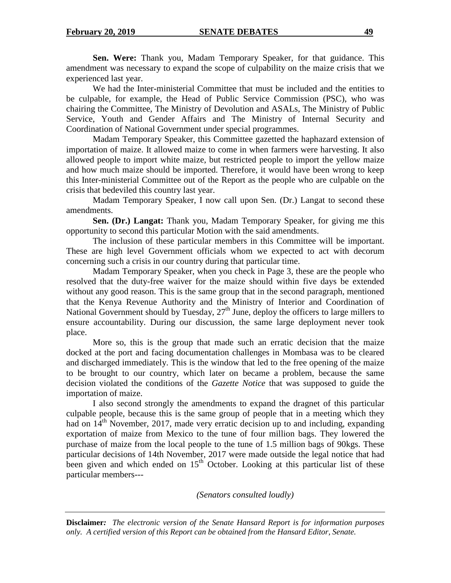**Sen. Were:** Thank you, Madam Temporary Speaker, for that guidance. This amendment was necessary to expand the scope of culpability on the maize crisis that we experienced last year.

We had the Inter-ministerial Committee that must be included and the entities to be culpable, for example, the Head of Public Service Commission (PSC), who was chairing the Committee, The Ministry of Devolution and ASALs, The Ministry of Public Service, Youth and Gender Affairs and The Ministry of Internal Security and Coordination of National Government under special programmes.

Madam Temporary Speaker, this Committee gazetted the haphazard extension of importation of maize. It allowed maize to come in when farmers were harvesting. It also allowed people to import white maize, but restricted people to import the yellow maize and how much maize should be imported. Therefore, it would have been wrong to keep this Inter-ministerial Committee out of the Report as the people who are culpable on the crisis that bedeviled this country last year.

Madam Temporary Speaker, I now call upon Sen. (Dr.) Langat to second these amendments.

**Sen. (Dr.) Langat:** Thank you, Madam Temporary Speaker, for giving me this opportunity to second this particular Motion with the said amendments.

The inclusion of these particular members in this Committee will be important. These are high level Government officials whom we expected to act with decorum concerning such a crisis in our country during that particular time.

Madam Temporary Speaker, when you check in Page 3, these are the people who resolved that the duty-free waiver for the maize should within five days be extended without any good reason. This is the same group that in the second paragraph, mentioned that the Kenya Revenue Authority and the Ministry of Interior and Coordination of National Government should by Tuesday,  $27<sup>th</sup>$  June, deploy the officers to large millers to ensure accountability. During our discussion, the same large deployment never took place.

More so, this is the group that made such an erratic decision that the maize docked at the port and facing documentation challenges in Mombasa was to be cleared and discharged immediately. This is the window that led to the free opening of the maize to be brought to our country, which later on became a problem, because the same decision violated the conditions of the *Gazette Notice* that was supposed to guide the importation of maize.

I also second strongly the amendments to expand the dragnet of this particular culpable people, because this is the same group of people that in a meeting which they had on  $14<sup>th</sup>$  November, 2017, made very erratic decision up to and including, expanding exportation of maize from Mexico to the tune of four million bags. They lowered the purchase of maize from the local people to the tune of 1.5 million bags of 90kgs. These particular decisions of 14th November, 2017 were made outside the legal notice that had been given and which ended on  $15<sup>th</sup>$  October. Looking at this particular list of these particular members---

*(Senators consulted loudly)*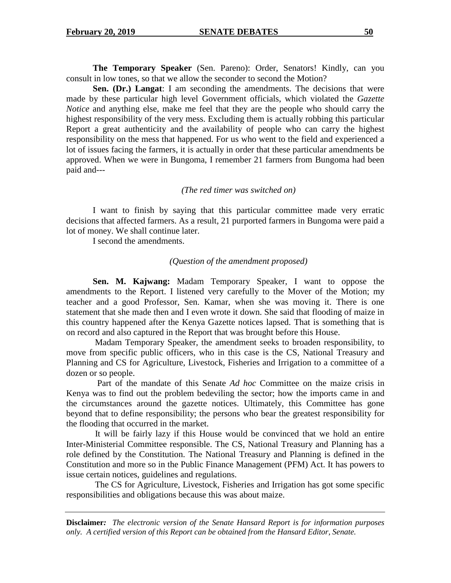**The Temporary Speaker** (Sen. Pareno): Order, Senators! Kindly, can you consult in low tones, so that we allow the seconder to second the Motion?

**Sen. (Dr.) Langat**: I am seconding the amendments. The decisions that were made by these particular high level Government officials, which violated the *Gazette Notice* and anything else, make me feel that they are the people who should carry the highest responsibility of the very mess. Excluding them is actually robbing this particular Report a great authenticity and the availability of people who can carry the highest responsibility on the mess that happened. For us who went to the field and experienced a lot of issues facing the farmers, it is actually in order that these particular amendments be approved. When we were in Bungoma, I remember 21 farmers from Bungoma had been paid and---

*(The red timer was switched on)* 

I want to finish by saying that this particular committee made very erratic decisions that affected farmers. As a result, 21 purported farmers in Bungoma were paid a lot of money. We shall continue later.

I second the amendments.

#### *(Question of the amendment proposed)*

**Sen. M. Kajwang:** Madam Temporary Speaker, I want to oppose the amendments to the Report. I listened very carefully to the Mover of the Motion; my teacher and a good Professor, Sen. Kamar, when she was moving it. There is one statement that she made then and I even wrote it down. She said that flooding of maize in this country happened after the Kenya Gazette notices lapsed. That is something that is on record and also captured in the Report that was brought before this House.

 Madam Temporary Speaker, the amendment seeks to broaden responsibility, to move from specific public officers, who in this case is the CS, National Treasury and Planning and CS for Agriculture, Livestock, Fisheries and Irrigation to a committee of a dozen or so people.

 Part of the mandate of this Senate *Ad hoc* Committee on the maize crisis in Kenya was to find out the problem bedeviling the sector; how the imports came in and the circumstances around the gazette notices. Ultimately, this Committee has gone beyond that to define responsibility; the persons who bear the greatest responsibility for the flooding that occurred in the market.

 It will be fairly lazy if this House would be convinced that we hold an entire Inter-Ministerial Committee responsible. The CS, National Treasury and Planning has a role defined by the Constitution. The National Treasury and Planning is defined in the Constitution and more so in the Public Finance Management (PFM) Act. It has powers to issue certain notices, guidelines and regulations.

 The CS for Agriculture, Livestock, Fisheries and Irrigation has got some specific responsibilities and obligations because this was about maize.